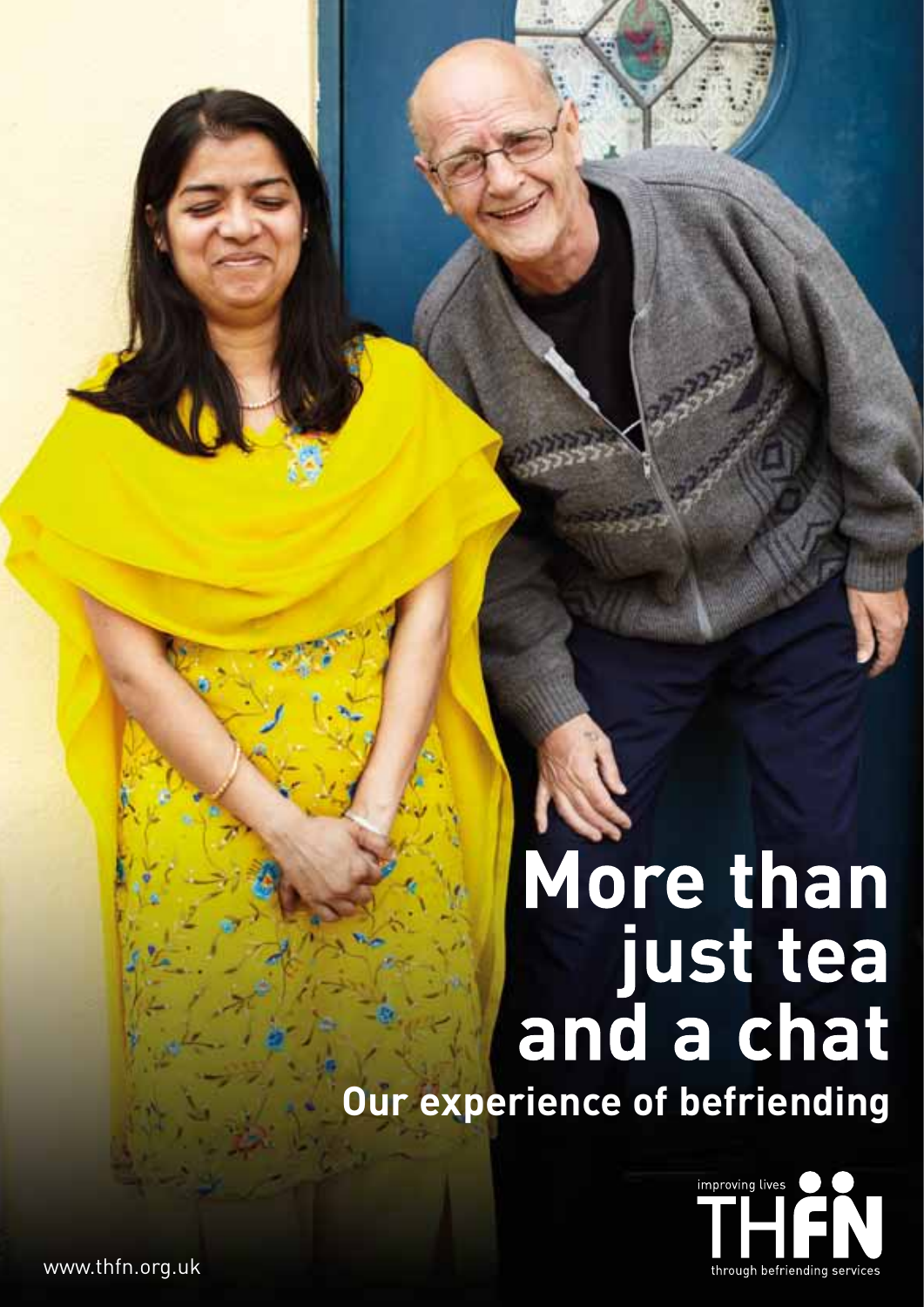# **More than<br>
just tea<br>
and a chat**<br>
our experience of befriending



www.thfn.org.uk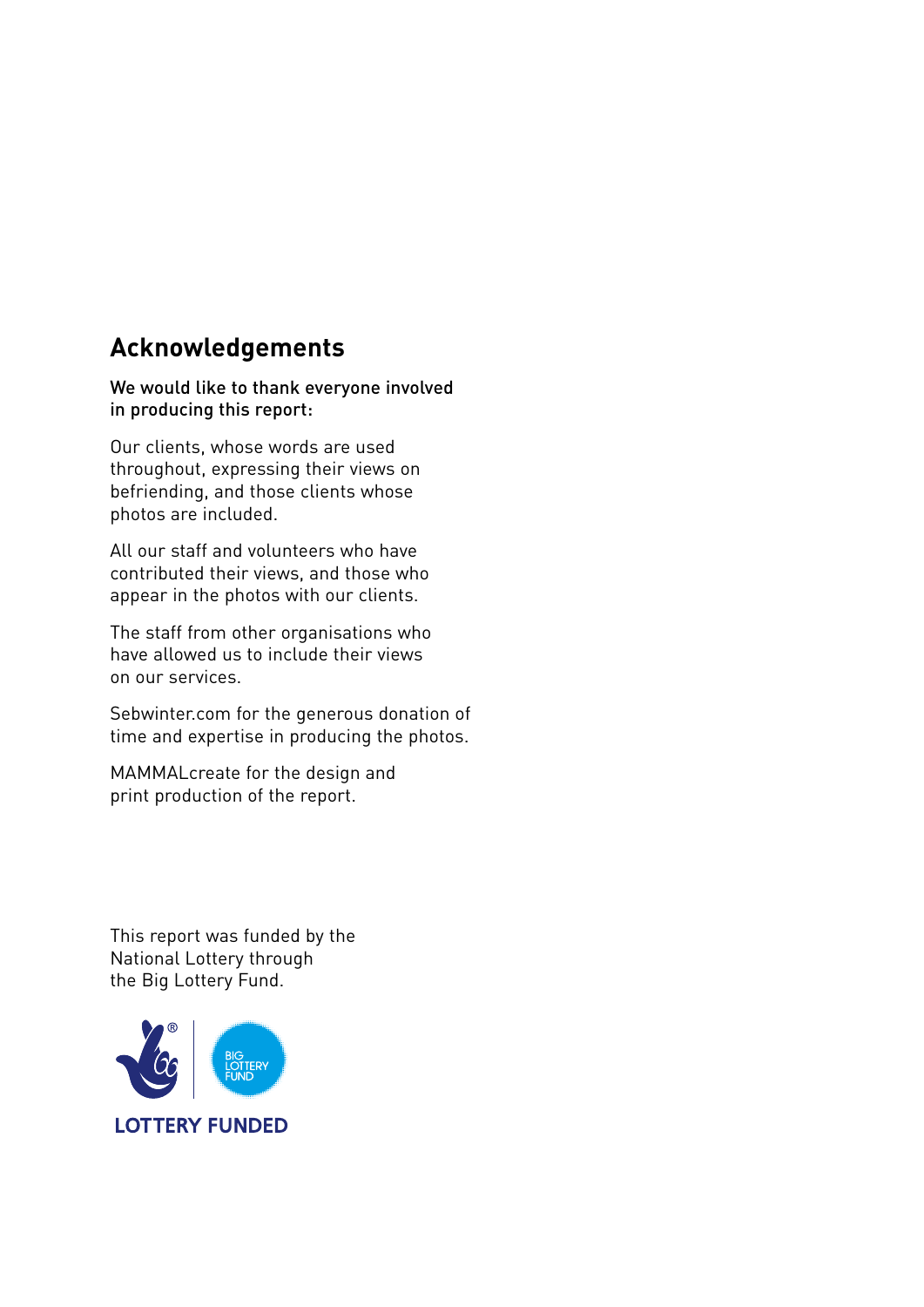### **Acknowledgements**

We would like to thank everyone involved in producing this report:

Our clients, whose words are used throughout, expressing their views on befriending, and those clients whose photos are included.

All our staff and volunteers who have contributed their views, and those who appear in the photos with our clients.

The staff from other organisations who have allowed us to include their views on our services.

Sebwinter.com for the generous donation of time and expertise in producing the photos.

MAMMALcreate for the design and print production of the report.

This report was funded by the National Lottery through the Big Lottery Fund.

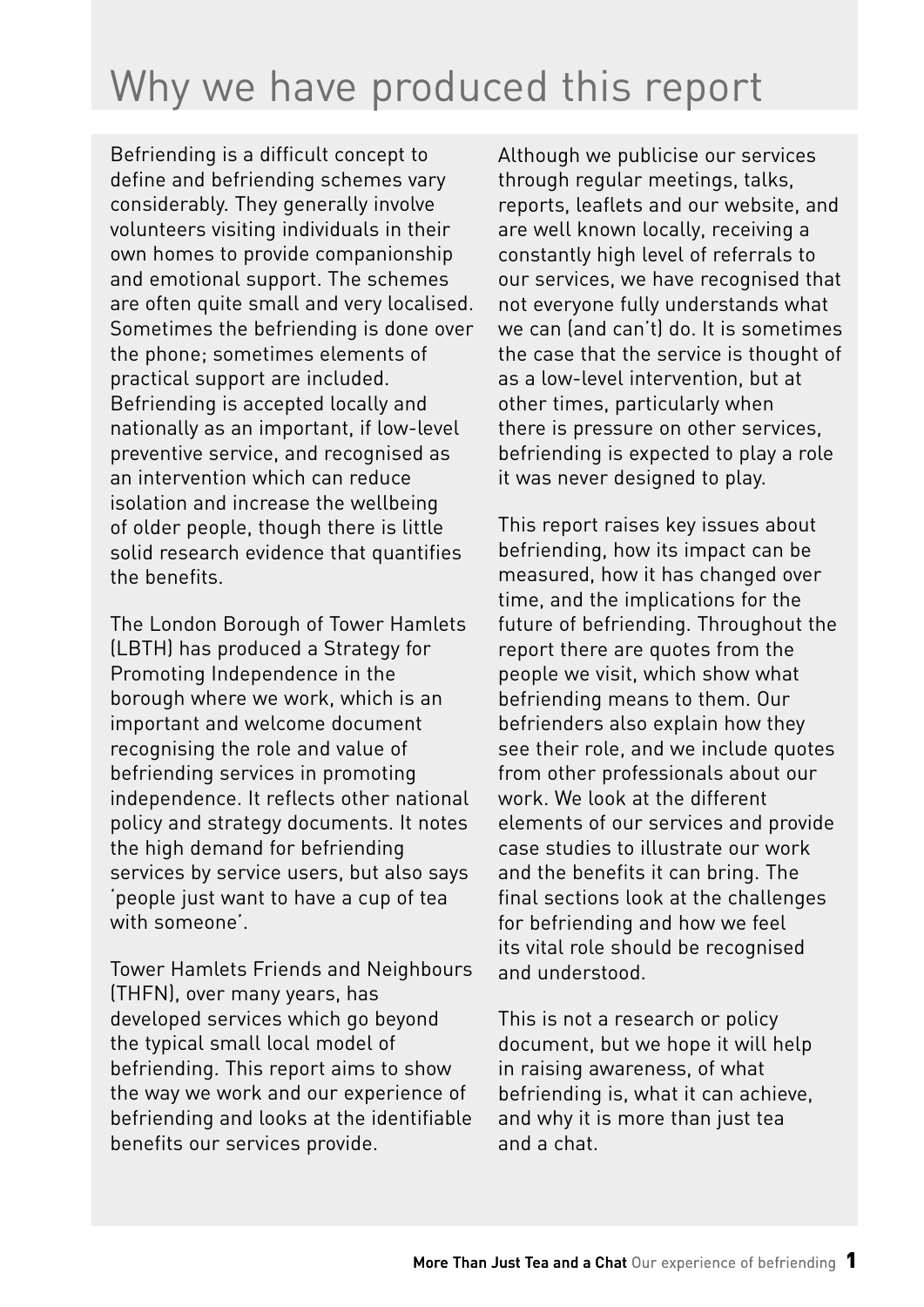# Why we have produced this report

Befriending is a difficult concept to define and befriending schemes vary considerably. They generally involve volunteers visiting individuals in their own homes to provide companionship and emotional support. The schemes are often quite small and very localised. Sometimes the befriending is done over the phone; sometimes elements of practical support are included. Befriending is accepted locally and nationally as an important, if low-level preventive service, and recognised as an intervention which can reduce isolation and increase the wellbeing of older people, though there is little solid research evidence that quantifies the benefits.

The London Borough of Tower Hamlets (LBTH) has produced a Strategy for Promoting Independence in the borough where we work, which is an important and welcome document recognising the role and value of befriending services in promoting independence. It reflects other national policy and strategy documents. It notes the high demand for befriending services by service users, but also says 'people just want to have a cup of tea with someone'.

Tower Hamlets Friends and Neighbours (THFN), over many years, has developed services which go beyond the typical small local model of befriending. This report aims to show the way we work and our experience of befriending and looks at the identifiable benefits our services provide.

Although we publicise our services through regular meetings, talks, reports, leaflets and our website, and are well known locally, receiving a constantly high level of referrals to our services, we have recognised that not everyone fully understands what we can (and can't) do. It is sometimes the case that the service is thought of as a low-level intervention, but at other times, particularly when there is pressure on other services, befriending is expected to play a role it was never designed to play.

This report raises key issues about befriending, how its impact can be measured, how it has changed over time, and the implications for the future of befriending. Throughout the report there are quotes from the people we visit, which show what befriending means to them. Our befrienders also explain how they see their role, and we include quotes from other professionals about our work. We look at the different elements of our services and provide case studies to illustrate our work and the benefits it can bring. The final sections look at the challenges for befriending and how we feel its vital role should be recognised and understood.

This is not a research or policy document, but we hope it will help in raising awareness, of what befriending is, what it can achieve, and why it is more than just tea and a chat.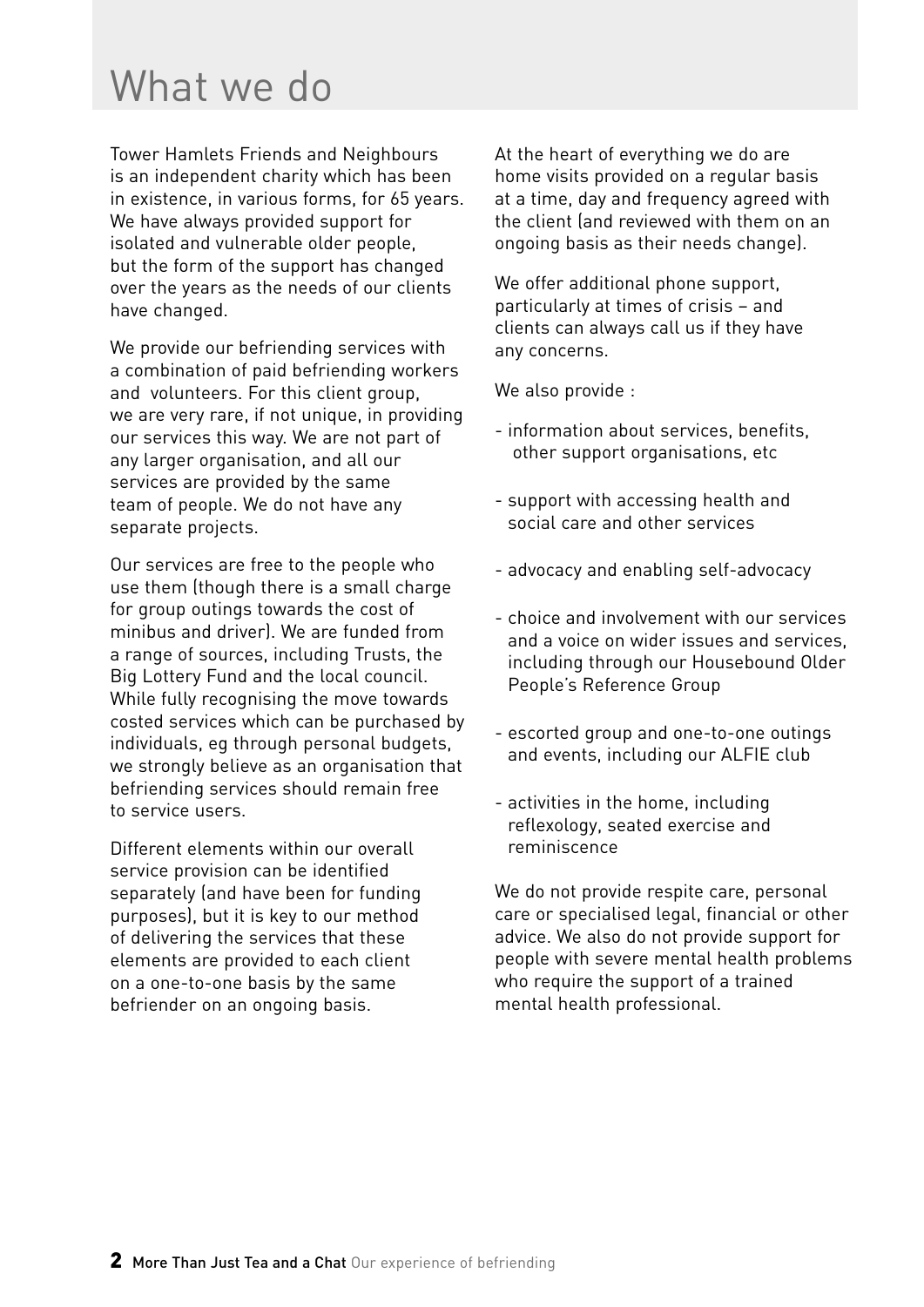## What we do

Tower Hamlets Friends and Neighbours is an independent charity which has been in existence, in various forms, for 65 years. We have always provided support for isolated and vulnerable older people, but the form of the support has changed over the years as the needs of our clients have changed.

We provide our befriending services with a combination of paid befriending workers and volunteers. For this client group, we are very rare, if not unique, in providing our services this way. We are not part of any larger organisation, and all our services are provided by the same team of people. We do not have any separate projects.

Our services are free to the people who use them (though there is a small charge for group outings towards the cost of minibus and driver). We are funded from a range of sources, including Trusts, the Big Lottery Fund and the local council. While fully recognising the move towards costed services which can be purchased by individuals, eg through personal budgets, we strongly believe as an organisation that befriending services should remain free to service users.

Different elements within our overall service provision can be identified separately (and have been for funding purposes), but it is key to our method of delivering the services that these elements are provided to each client on a one-to-one basis by the same befriender on an ongoing basis.

At the heart of everything we do are home visits provided on a regular basis at a time, day and frequency agreed with the client (and reviewed with them on an ongoing basis as their needs change).

We offer additional phone support, particularly at times of crisis – and clients can always call us if they have any concerns.

We also provide :

- information about services, benefits, other support organisations, etc
- support with accessing health and social care and other services
- advocacy and enabling self-advocacy
- choice and involvement with our services and a voice on wider issues and services, including through our Housebound Older People's Reference Group
- escorted group and one-to-one outings and events, including our ALFIE club
- activities in the home, including reflexology, seated exercise and reminiscence

We do not provide respite care, personal care or specialised legal, financial or other advice. We also do not provide support for people with severe mental health problems who require the support of a trained mental health professional.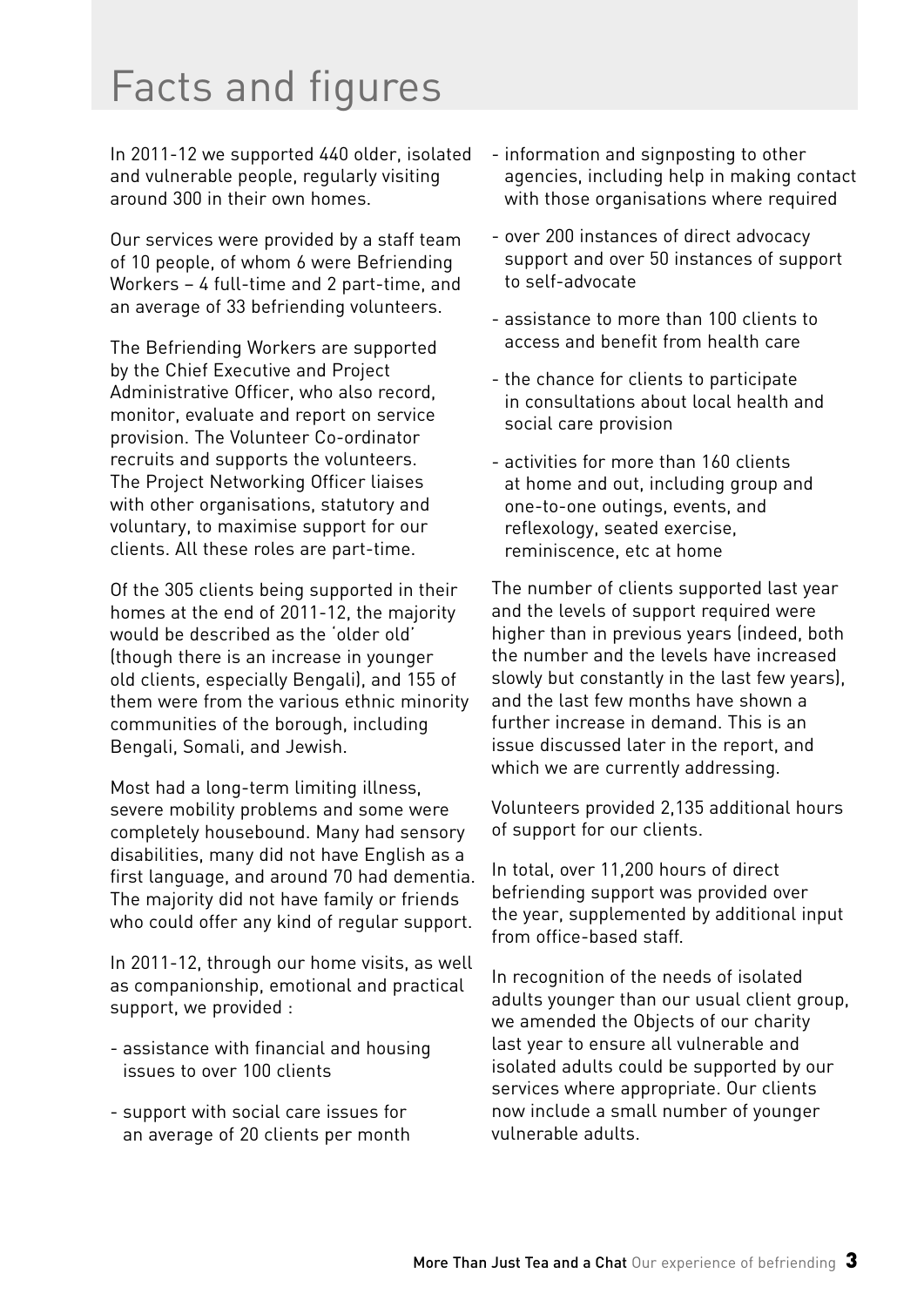# Facts and figures

In 2011-12 we supported 440 older, isolated and vulnerable people, regularly visiting around 300 in their own homes.

Our services were provided by a staff team of 10 people, of whom 6 were Befriending Workers – 4 full-time and 2 part-time, and an average of 33 befriending volunteers.

The Befriending Workers are supported by the Chief Executive and Project Administrative Officer, who also record, monitor, evaluate and report on service provision. The Volunteer Co-ordinator recruits and supports the volunteers. The Project Networking Officer liaises with other organisations, statutory and voluntary, to maximise support for our clients. All these roles are part-time.

Of the 305 clients being supported in their homes at the end of 2011-12, the majority would be described as the 'older old' (though there is an increase in younger old clients, especially Bengali), and 155 of them were from the various ethnic minority communities of the borough, including Bengali, Somali, and Jewish.

Most had a long-term limiting illness, severe mobility problems and some were completely housebound. Many had sensory disabilities, many did not have English as a first language, and around 70 had dementia. The majority did not have family or friends who could offer any kind of regular support.

In 2011-12, through our home visits, as well as companionship, emotional and practical support, we provided :

- assistance with financial and housing issues to over 100 clients
- support with social care issues for an average of 20 clients per month
- information and signposting to other agencies, including help in making contact with those organisations where required
- over 200 instances of direct advocacy support and over 50 instances of support to self-advocate
- assistance to more than 100 clients to access and benefit from health care
- the chance for clients to participate in consultations about local health and social care provision
- activities for more than 160 clients at home and out, including group and one-to-one outings, events, and reflexology, seated exercise, reminiscence, etc at home

The number of clients supported last year and the levels of support required were higher than in previous years (indeed, both the number and the levels have increased slowly but constantly in the last few years), and the last few months have shown a further increase in demand. This is an issue discussed later in the report, and which we are currently addressing.

Volunteers provided 2,135 additional hours of support for our clients.

In total, over 11,200 hours of direct befriending support was provided over the year, supplemented by additional input from office-based staff.

In recognition of the needs of isolated adults younger than our usual client group, we amended the Objects of our charity last year to ensure all vulnerable and isolated adults could be supported by our services where appropriate. Our clients now include a small number of younger vulnerable adults.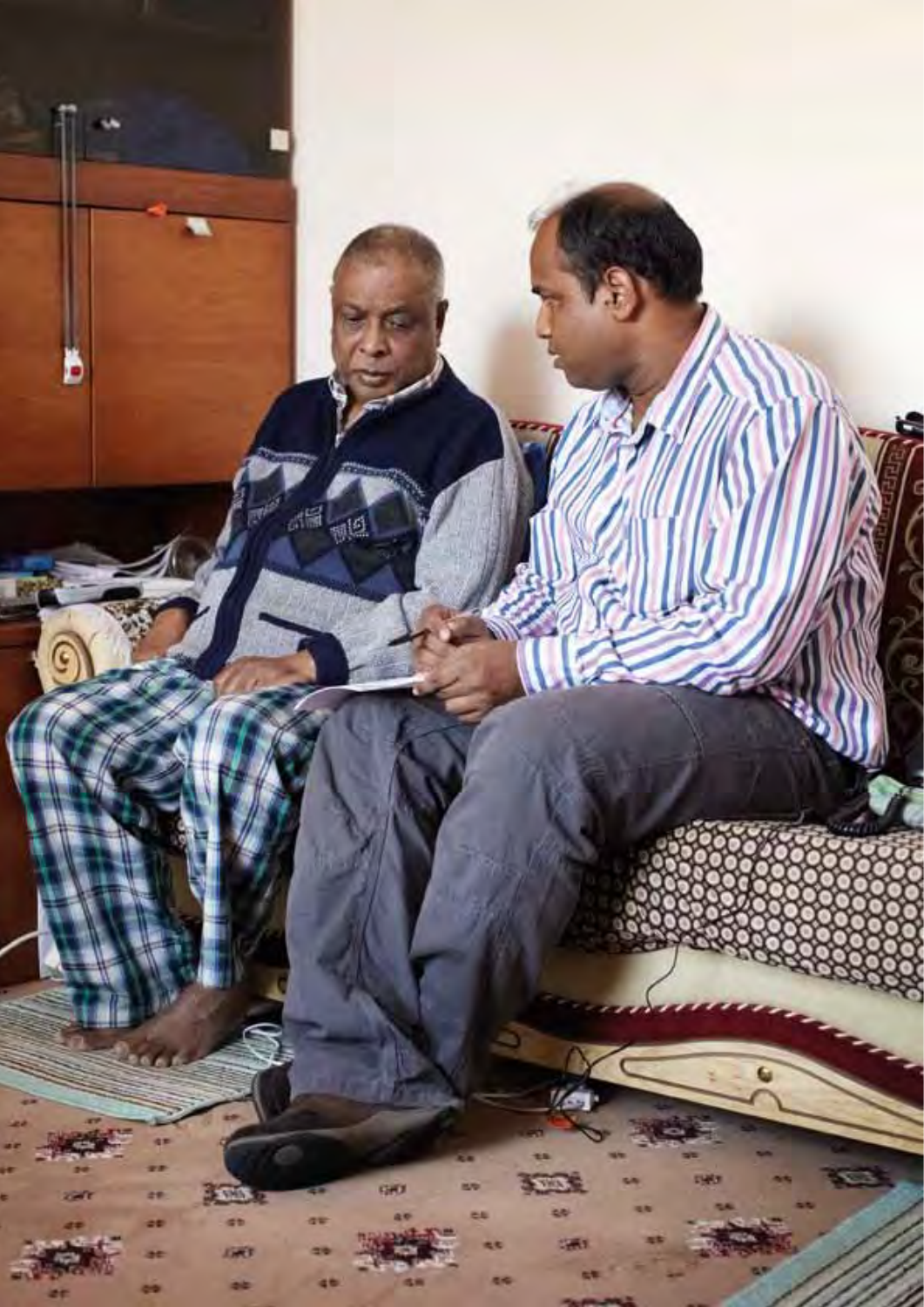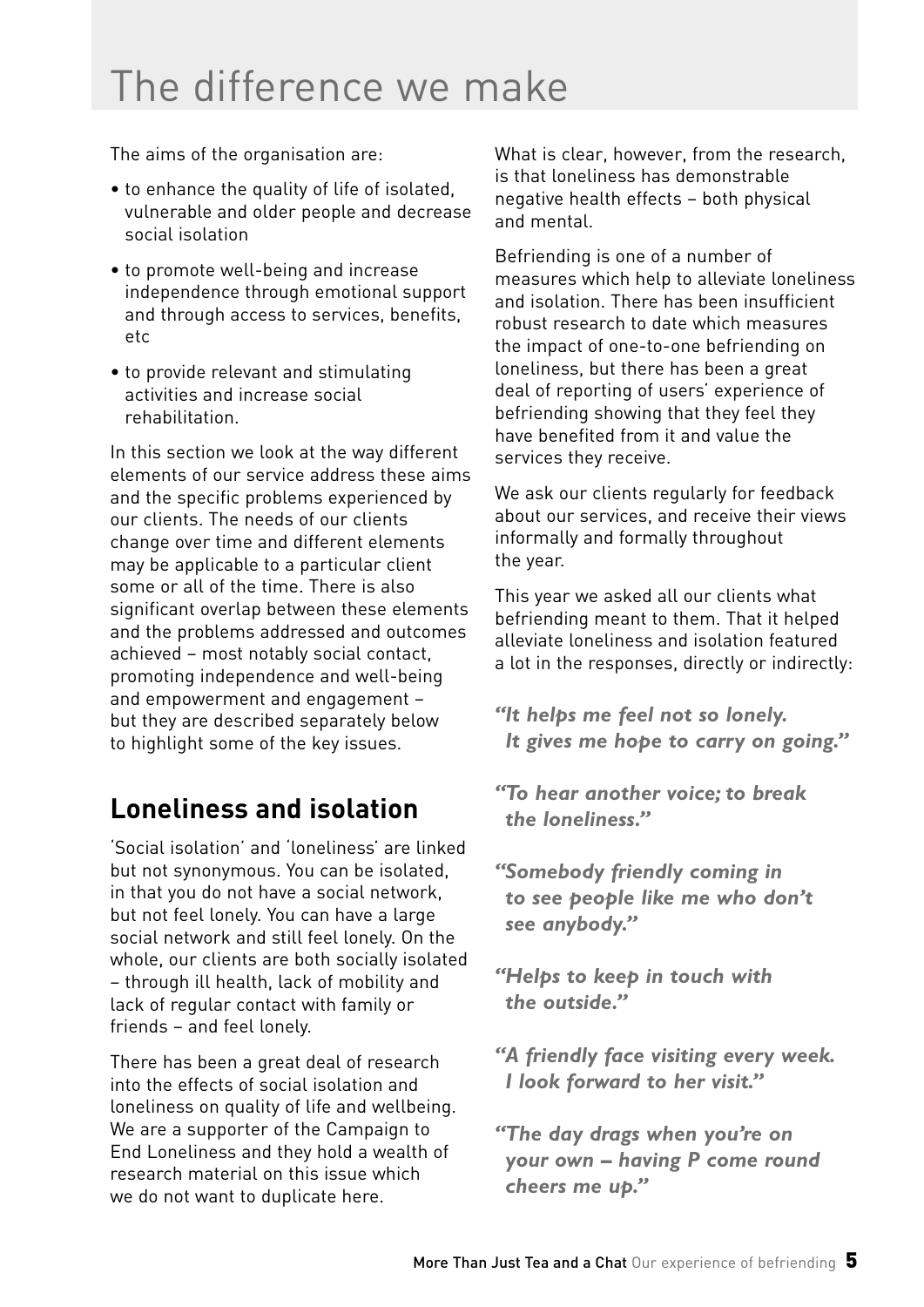# The difference we make

The aims of the organisation are:

- to enhance the quality of life of isolated, vulnerable and older people and decrease social isolation
- to promote well-being and increase independence through emotional support and through access to services, benefits, etc
- to provide relevant and stimulating activities and increase social rehabilitation.

In this section we look at the way different elements of our service address these aims and the specific problems experienced by our clients. The needs of our clients change over time and different elements may be applicable to a particular client some or all of the time. There is also significant overlap between these elements and the problems addressed and outcomes achieved – most notably social contact, promoting independence and well-being and empowerment and engagement – but they are described separately below to highlight some of the key issues.

## **Loneliness and isolation**

'Social isolation' and 'loneliness' are linked but not synonymous. You can be isolated, in that you do not have a social network, but not feel lonely. You can have a large social network and still feel lonely. On the whole, our clients are both socially isolated – through ill health, lack of mobility and lack of regular contact with family or friends – and feel lonely.

There has been a great deal of research into the effects of social isolation and loneliness on quality of life and wellbeing. We are a supporter of the Campaign to End Loneliness and they hold a wealth of research material on this issue which we do not want to duplicate here.

What is clear, however, from the research, is that loneliness has demonstrable negative health effects – both physical and mental.

Befriending is one of a number of measures which help to alleviate loneliness and isolation. There has been insufficient robust research to date which measures the impact of one-to-one befriending on loneliness, but there has been a great deal of reporting of users' experience of befriending showing that they feel they have benefited from it and value the services they receive.

We ask our clients regularly for feedback about our services, and receive their views informally and formally throughout the year.

This year we asked all our clients what befriending meant to them. That it helped alleviate loneliness and isolation featured a lot in the responses, directly or indirectly:

*"It helps me feel not so lonely. It gives me hope to carry on going."*

*"To hear another voice; to break the loneliness."*

*"Somebody friendly coming in to see people like me who don't see anybody."*

*"Helps to keep in touch with the outside."*

*"A friendly face visiting every week. I look forward to her visit."*

*"The day drags when you're on your own – having P come round cheers me up."*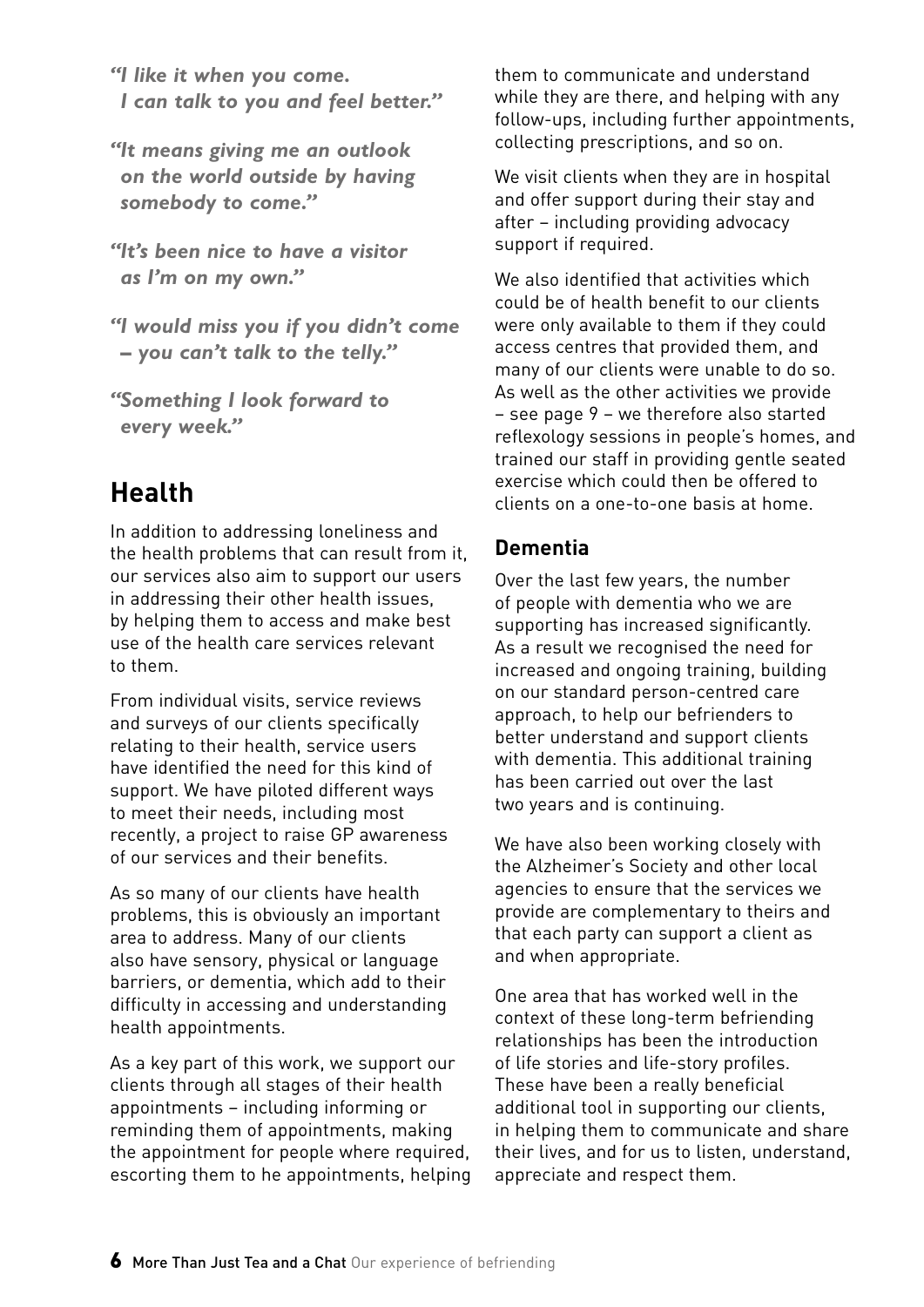- *"I like it when you come. I can talk to you and feel better."*
- *"It means giving me an outlook on the world outside by having somebody to come."*
- *"It's been nice to have a visitor as I'm on my own."*
- *"I would miss you if you didn't come – you can't talk to the telly."*
- *"Something I look forward to every week."*

## **Health**

In addition to addressing loneliness and the health problems that can result from it, our services also aim to support our users in addressing their other health issues, by helping them to access and make best use of the health care services relevant to them.

From individual visits, service reviews and surveys of our clients specifically relating to their health, service users have identified the need for this kind of support. We have piloted different ways to meet their needs, including most recently, a project to raise GP awareness of our services and their benefits.

As so many of our clients have health problems, this is obviously an important area to address. Many of our clients also have sensory, physical or language barriers, or dementia, which add to their difficulty in accessing and understanding health appointments.

As a key part of this work, we support our clients through all stages of their health appointments – including informing or reminding them of appointments, making the appointment for people where required, escorting them to he appointments, helping them to communicate and understand while they are there, and helping with any follow-ups, including further appointments, collecting prescriptions, and so on.

We visit clients when they are in hospital and offer support during their stay and after – including providing advocacy support if required.

We also identified that activities which could be of health benefit to our clients were only available to them if they could access centres that provided them, and many of our clients were unable to do so. As well as the other activities we provide – see page 9 – we therefore also started reflexology sessions in people's homes, and trained our staff in providing gentle seated exercise which could then be offered to clients on a one-to-one basis at home.

#### **Dementia**

Over the last few years, the number of people with dementia who we are supporting has increased significantly. As a result we recognised the need for increased and ongoing training, building on our standard person-centred care approach, to help our befrienders to better understand and support clients with dementia. This additional training has been carried out over the last two years and is continuing.

We have also been working closely with the Alzheimer's Society and other local agencies to ensure that the services we provide are complementary to theirs and that each party can support a client as and when appropriate.

One area that has worked well in the context of these long-term befriending relationships has been the introduction of life stories and life-story profiles. These have been a really beneficial additional tool in supporting our clients, in helping them to communicate and share their lives, and for us to listen, understand, appreciate and respect them.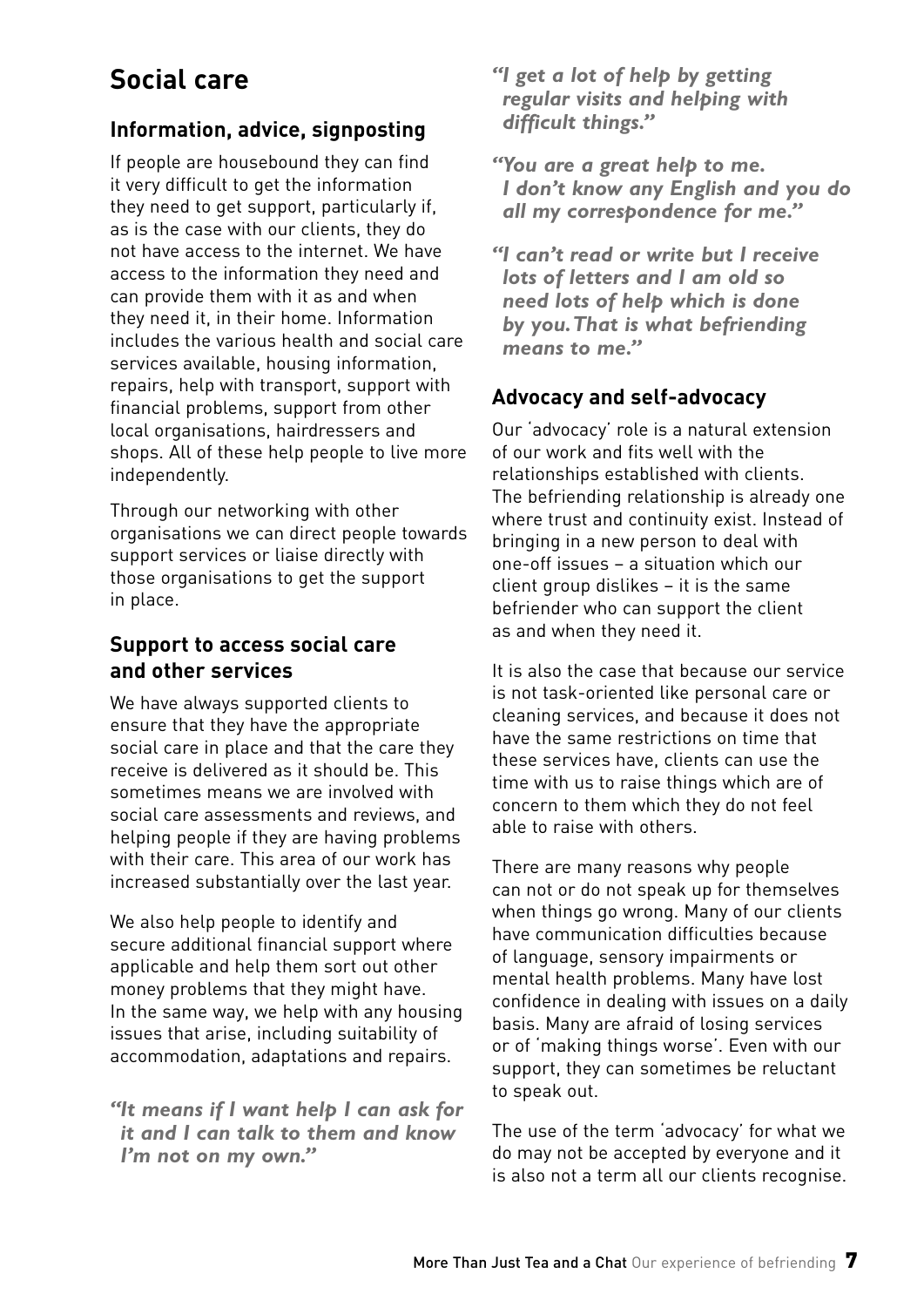## **Social care**

#### **Information, advice, signposting**

If people are housebound they can find it very difficult to get the information they need to get support, particularly if, as is the case with our clients, they do not have access to the internet. We have access to the information they need and can provide them with it as and when they need it, in their home. Information includes the various health and social care services available, housing information, repairs, help with transport, support with financial problems, support from other local organisations, hairdressers and shops. All of these help people to live more independently.

Through our networking with other organisations we can direct people towards support services or liaise directly with those organisations to get the support in place.

#### **Support to access social care and other services**

We have always supported clients to ensure that they have the appropriate social care in place and that the care they receive is delivered as it should be. This sometimes means we are involved with social care assessments and reviews, and helping people if they are having problems with their care. This area of our work has increased substantially over the last year.

We also help people to identify and secure additional financial support where applicable and help them sort out other money problems that they might have. In the same way, we help with any housing issues that arise, including suitability of accommodation, adaptations and repairs.

*"It means if I want help I can ask for it and I can talk to them and know I'm not on my own."*

- *"I get a lot of help by getting regular visits and helping with difficult things."*
- *"You are a great help to me. I don't know any English and you do all my correspondence for me."*
- *"I can't read or write but I receive lots of letters and I am old so need lots of help which is done by you. That is what befriending means to me."*

#### **Advocacy and self-advocacy**

Our 'advocacy' role is a natural extension of our work and fits well with the relationships established with clients. The befriending relationship is already one where trust and continuity exist. Instead of bringing in a new person to deal with one-off issues – a situation which our client group dislikes – it is the same befriender who can support the client as and when they need it.

It is also the case that because our service is not task-oriented like personal care or cleaning services, and because it does not have the same restrictions on time that these services have, clients can use the time with us to raise things which are of concern to them which they do not feel able to raise with others.

There are many reasons why people can not or do not speak up for themselves when things go wrong. Many of our clients have communication difficulties because of language, sensory impairments or mental health problems. Many have lost confidence in dealing with issues on a daily basis. Many are afraid of losing services or of 'making things worse'. Even with our support, they can sometimes be reluctant to speak out.

The use of the term 'advocacy' for what we do may not be accepted by everyone and it is also not a term all our clients recognise.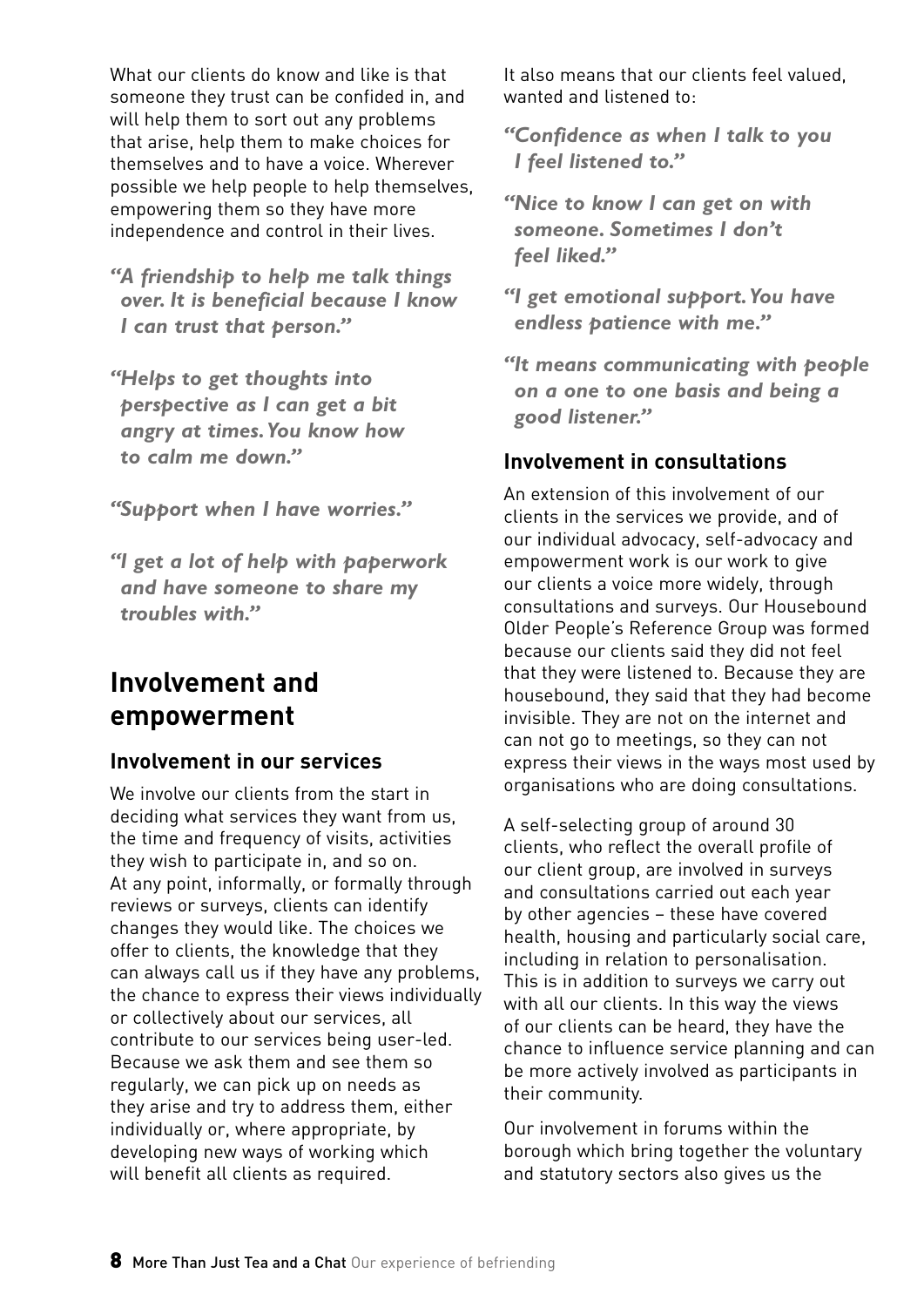What our clients do know and like is that someone they trust can be confided in, and will help them to sort out any problems that arise, help them to make choices for themselves and to have a voice. Wherever possible we help people to help themselves, empowering them so they have more independence and control in their lives.

- *"A friendship to help me talk things over. It is beneficial because I know I can trust that person."*
- *"Helps to get thoughts into perspective as I can get a bit angry at times. You know how to calm me down."*

*"Support when I have worries."*

*"I get a lot of help with paperwork and have someone to share my troubles with."* 

## **Involvement and empowerment**

#### **Involvement in our services**

We involve our clients from the start in deciding what services they want from us, the time and frequency of visits, activities they wish to participate in, and so on. At any point, informally, or formally through reviews or surveys, clients can identify changes they would like. The choices we offer to clients, the knowledge that they can always call us if they have any problems, the chance to express their views individually or collectively about our services, all contribute to our services being user-led. Because we ask them and see them so regularly, we can pick up on needs as they arise and try to address them, either individually or, where appropriate, by developing new ways of working which will benefit all clients as required.

It also means that our clients feel valued, wanted and listened to:

*"Confidence as when I talk to you I feel listened to."*

- *"Nice to know I can get on with someone. Sometimes I don't feel liked."*
- *"I get emotional support. You have endless patience with me."*
- *"It means communicating with people on a one to one basis and being a good listener."*

#### **Involvement in consultations**

An extension of this involvement of our clients in the services we provide, and of our individual advocacy, self-advocacy and empowerment work is our work to give our clients a voice more widely, through consultations and surveys. Our Housebound Older People's Reference Group was formed because our clients said they did not feel that they were listened to. Because they are housebound, they said that they had become invisible. They are not on the internet and can not go to meetings, so they can not express their views in the ways most used by organisations who are doing consultations.

A self-selecting group of around 30 clients, who reflect the overall profile of our client group, are involved in surveys and consultations carried out each year by other agencies – these have covered health, housing and particularly social care, including in relation to personalisation. This is in addition to surveys we carry out with all our clients. In this way the views of our clients can be heard, they have the chance to influence service planning and can be more actively involved as participants in their community.

Our involvement in forums within the borough which bring together the voluntary and statutory sectors also gives us the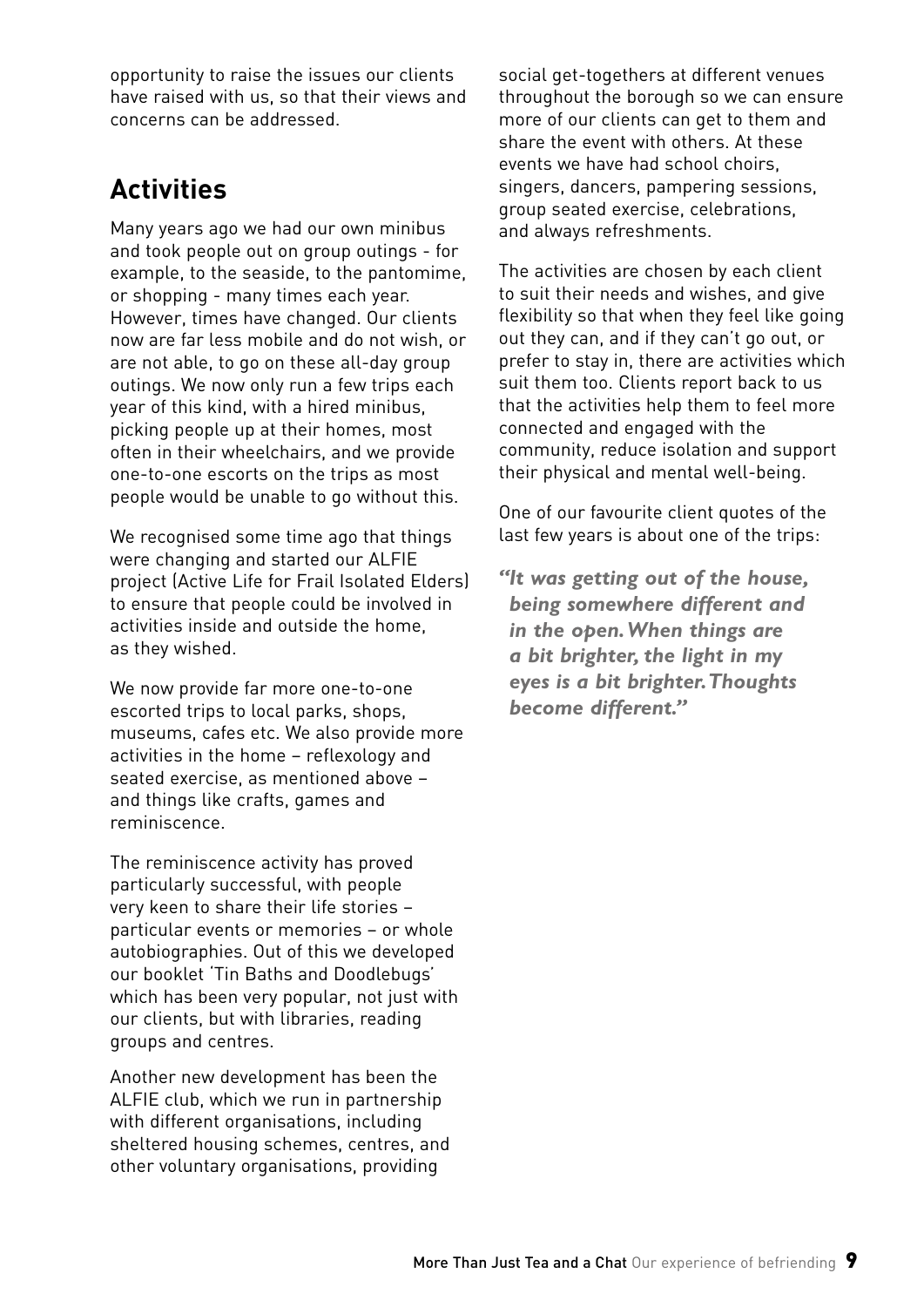opportunity to raise the issues our clients have raised with us, so that their views and concerns can be addressed.

## **Activities**

Many years ago we had our own minibus and took people out on group outings - for example, to the seaside, to the pantomime, or shopping - many times each year. However, times have changed. Our clients now are far less mobile and do not wish, or are not able, to go on these all-day group outings. We now only run a few trips each year of this kind, with a hired minibus, picking people up at their homes, most often in their wheelchairs, and we provide one-to-one escorts on the trips as most people would be unable to go without this.

We recognised some time ago that things were changing and started our ALFIE project (Active Life for Frail Isolated Elders) to ensure that people could be involved in activities inside and outside the home, as they wished.

We now provide far more one-to-one escorted trips to local parks, shops, museums, cafes etc. We also provide more activities in the home – reflexology and seated exercise, as mentioned above – and things like crafts, games and reminiscence.

The reminiscence activity has proved particularly successful, with people very keen to share their life stories – particular events or memories – or whole autobiographies. Out of this we developed our booklet 'Tin Baths and Doodlebugs' which has been very popular, not just with our clients, but with libraries, reading groups and centres.

Another new development has been the ALFIE club, which we run in partnership with different organisations, including sheltered housing schemes, centres, and other voluntary organisations, providing

social get-togethers at different venues throughout the borough so we can ensure more of our clients can get to them and share the event with others. At these events we have had school choirs, singers, dancers, pampering sessions, group seated exercise, celebrations, and always refreshments.

The activities are chosen by each client to suit their needs and wishes, and give flexibility so that when they feel like going out they can, and if they can't go out, or prefer to stay in, there are activities which suit them too. Clients report back to us that the activities help them to feel more connected and engaged with the community, reduce isolation and support their physical and mental well-being.

One of our favourite client quotes of the last few years is about one of the trips:

*"It was getting out of the house, being somewhere different and in the open. When things are a bit brighter, the light in my eyes is a bit brighter. Thoughts become different."*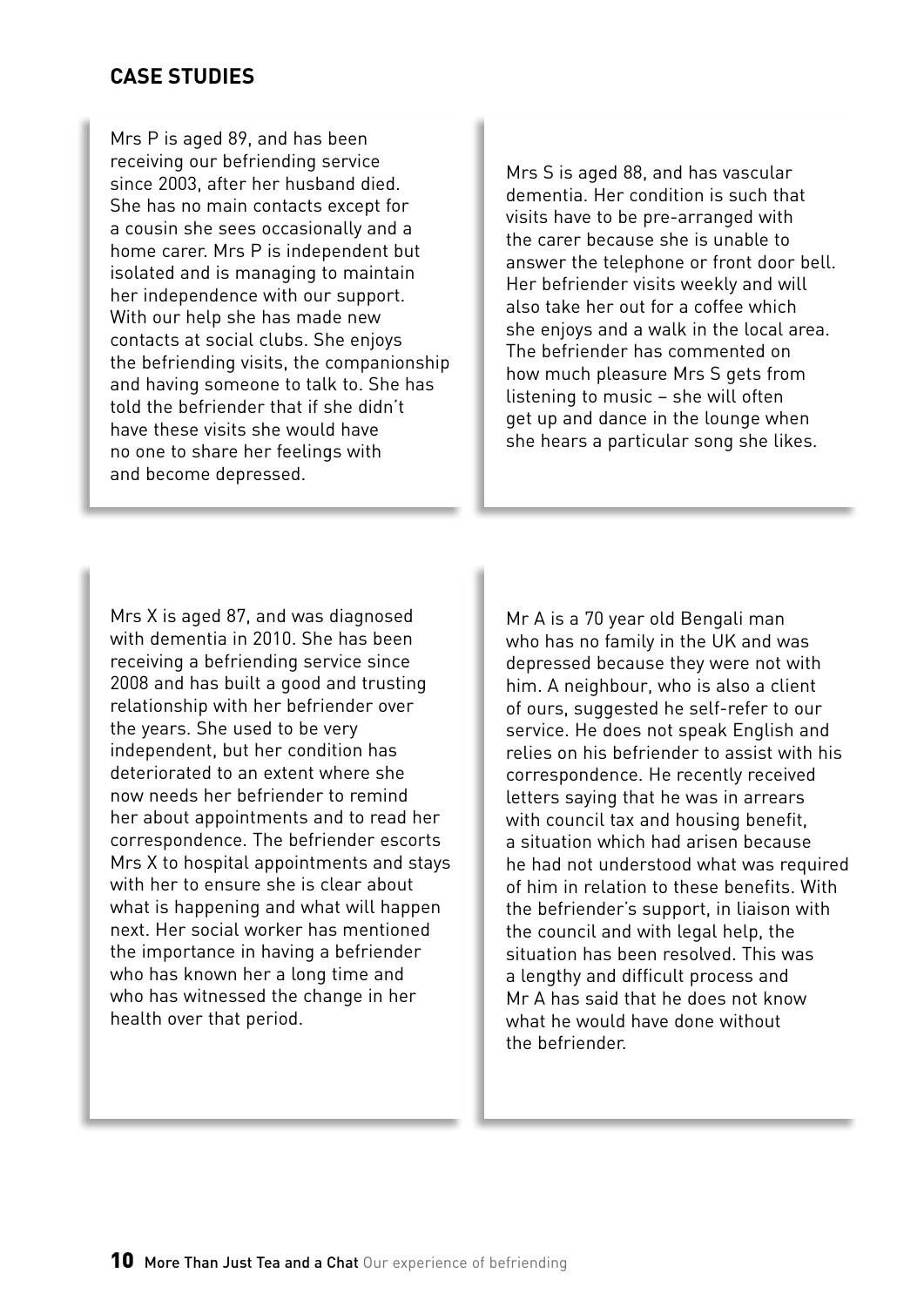Mrs P is aged 89, and has been receiving our befriending service since 2003, after her husband died. She has no main contacts except for a cousin she sees occasionally and a home carer. Mrs P is independent but isolated and is managing to maintain her independence with our support. With our help she has made new contacts at social clubs. She enjoys the befriending visits, the companionship and having someone to talk to. She has told the befriender that if she didn't have these visits she would have no one to share her feelings with and become depressed.

Mrs S is aged 88, and has vascular dementia. Her condition is such that visits have to be pre-arranged with the carer because she is unable to answer the telephone or front door bell. Her befriender visits weekly and will also take her out for a coffee which she enjoys and a walk in the local area. The befriender has commented on how much pleasure Mrs S gets from listening to music – she will often get up and dance in the lounge when she hears a particular song she likes.

Mrs X is aged 87, and was diagnosed with dementia in 2010. She has been receiving a befriending service since 2008 and has built a good and trusting relationship with her befriender over the years. She used to be very independent, but her condition has deteriorated to an extent where she now needs her befriender to remind her about appointments and to read her correspondence. The befriender escorts Mrs X to hospital appointments and stays with her to ensure she is clear about what is happening and what will happen next. Her social worker has mentioned the importance in having a befriender who has known her a long time and who has witnessed the change in her health over that period.

Mr A is a 70 year old Bengali man who has no family in the UK and was depressed because they were not with him. A neighbour, who is also a client of ours, suggested he self-refer to our service. He does not speak English and relies on his befriender to assist with his correspondence. He recently received letters saying that he was in arrears with council tax and housing benefit. a situation which had arisen because he had not understood what was required of him in relation to these benefits. With the befriender's support, in liaison with the council and with legal help, the situation has been resolved. This was a lengthy and difficult process and Mr A has said that he does not know what he would have done without the befriender.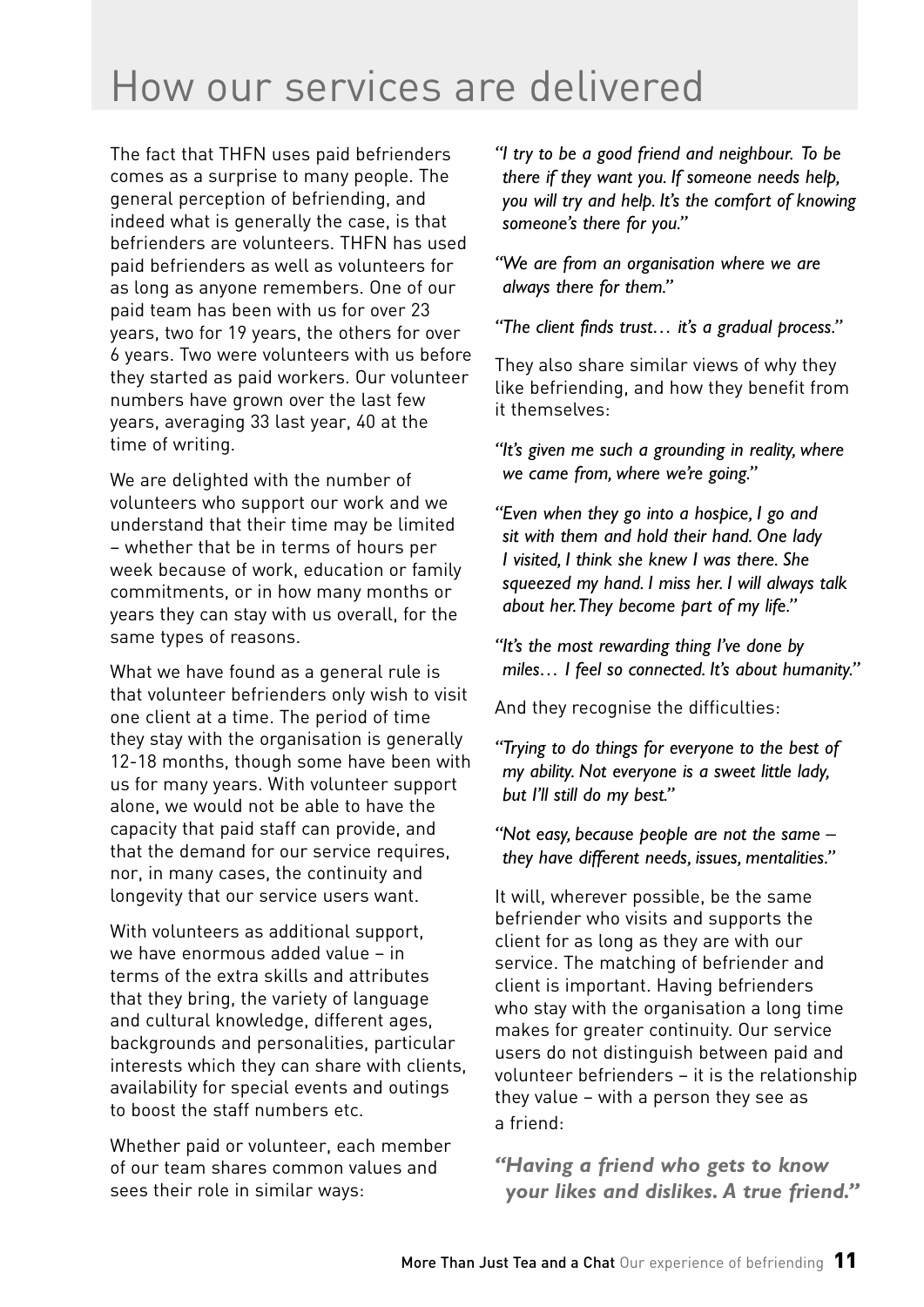## How our services are delivered

The fact that THFN uses paid befrienders comes as a surprise to many people. The general perception of befriending, and indeed what is generally the case, is that befrienders are volunteers. THFN has used paid befrienders as well as volunteers for as long as anyone remembers. One of our paid team has been with us for over 23 years, two for 19 years, the others for over 6 years. Two were volunteers with us before they started as paid workers. Our volunteer numbers have grown over the last few years, averaging 33 last year, 40 at the time of writing.

We are delighted with the number of volunteers who support our work and we understand that their time may be limited – whether that be in terms of hours per week because of work, education or family commitments, or in how many months or years they can stay with us overall, for the same types of reasons.

What we have found as a general rule is that volunteer befrienders only wish to visit one client at a time. The period of time they stay with the organisation is generally 12-18 months, though some have been with us for many years. With volunteer support alone, we would not be able to have the capacity that paid staff can provide, and that the demand for our service requires, nor, in many cases, the continuity and longevity that our service users want.

With volunteers as additional support, we have enormous added value – in terms of the extra skills and attributes that they bring, the variety of language and cultural knowledge, different ages, backgrounds and personalities, particular interests which they can share with clients, availability for special events and outings to boost the staff numbers etc.

Whether paid or volunteer, each member of our team shares common values and sees their role in similar ways:

*"I try to be a good friend and neighbour. To be there if they want you. If someone needs help, you will try and help. It's the comfort of knowing someone's there for you."*

*"We are from an organisation where we are always there for them."*

*"The client finds trust… it's a gradual process."*

They also share similar views of why they like befriending, and how they benefit from it themselves:

*"It's given me such a grounding in reality, where we came from, where we're going."*

*"Even when they go into a hospice, I go and sit with them and hold their hand. One lady I visited, I think she knew I was there. She squeezed my hand. I miss her. I will always talk about her. They become part of my life."*

*"It's the most rewarding thing I've done by miles… I feel so connected. It's about humanity."*

And they recognise the difficulties:

*"Trying to do things for everyone to the best of my ability. Not everyone is a sweet little lady, but I'll still do my best."*

*"Not easy, because people are not the same – they have different needs, issues, mentalities."*

It will, wherever possible, be the same befriender who visits and supports the client for as long as they are with our service. The matching of befriender and client is important. Having befrienders who stay with the organisation a long time makes for greater continuity. Our service users do not distinguish between paid and volunteer befrienders – it is the relationship they value – with a person they see as a friend:

#### *"Having a friend who gets to know your likes and dislikes. A true friend."*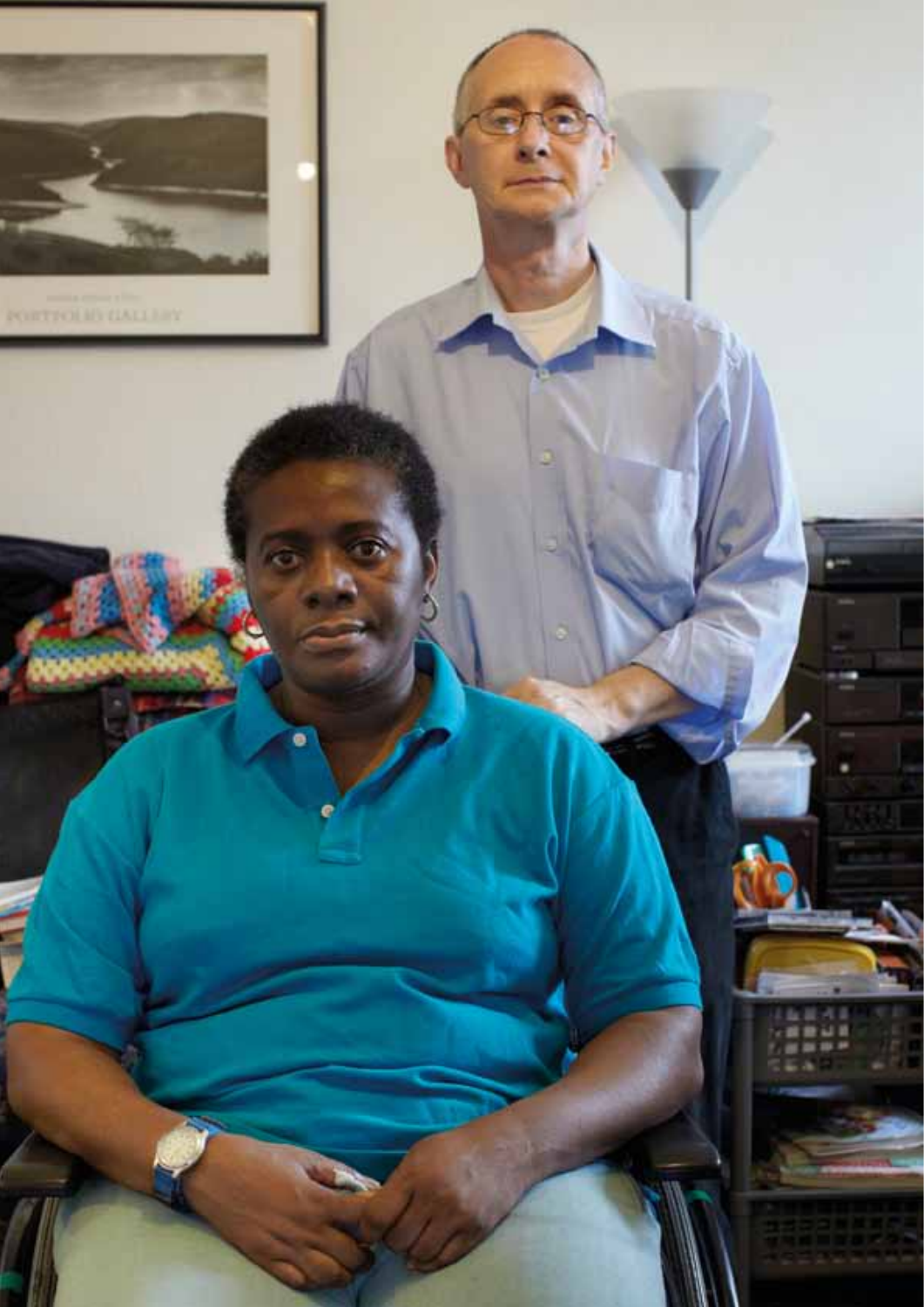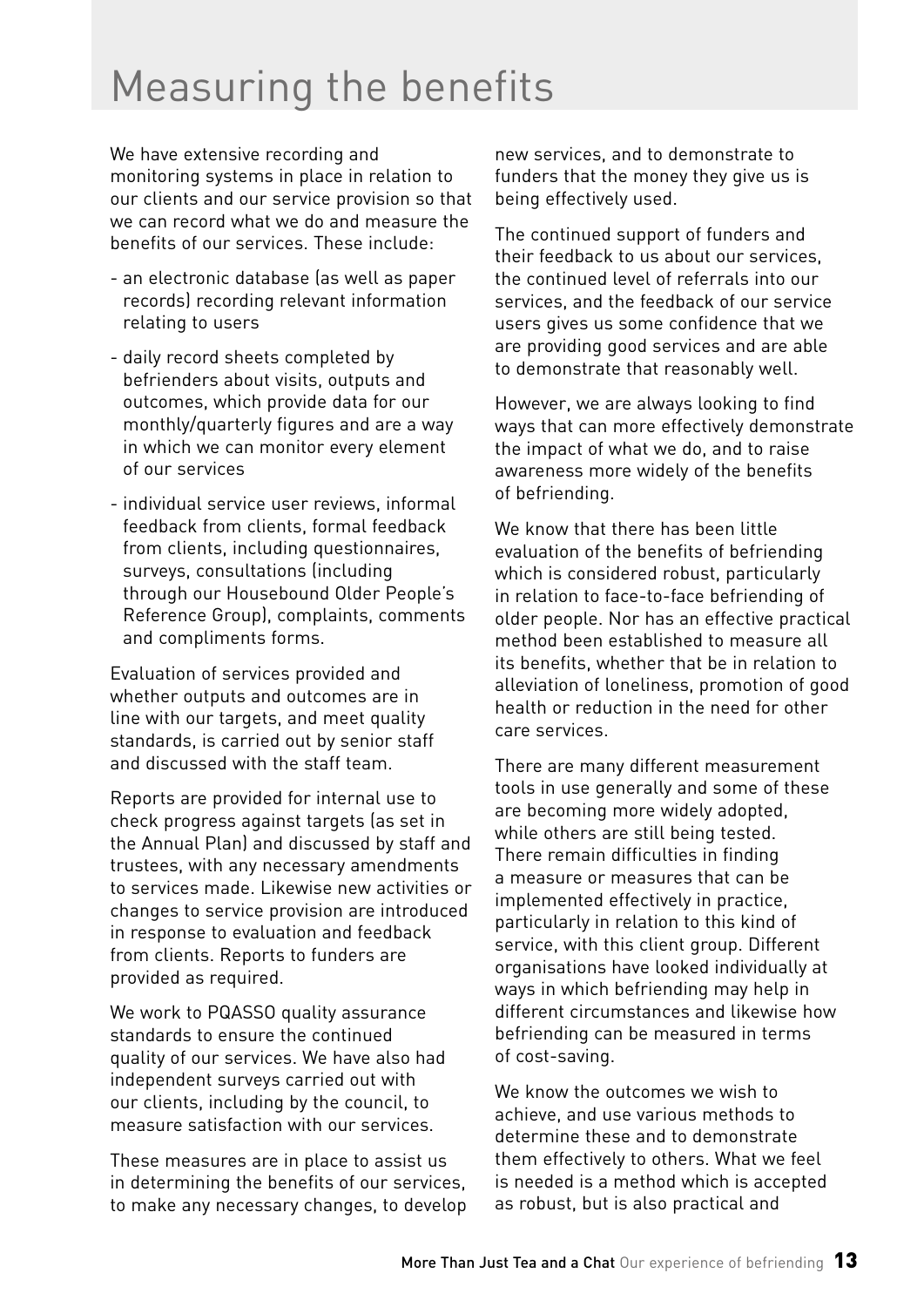We have extensive recording and monitoring systems in place in relation to our clients and our service provision so that we can record what we do and measure the benefits of our services. These include:

- an electronic database (as well as paper records) recording relevant information relating to users
- daily record sheets completed by befrienders about visits, outputs and outcomes, which provide data for our monthly/quarterly figures and are a way in which we can monitor every element of our services
- individual service user reviews, informal feedback from clients, formal feedback from clients, including questionnaires, surveys, consultations (including through our Housebound Older People's Reference Group), complaints, comments and compliments forms.

Evaluation of services provided and whether outputs and outcomes are in line with our targets, and meet quality standards, is carried out by senior staff and discussed with the staff team.

Reports are provided for internal use to check progress against targets (as set in the Annual Plan) and discussed by staff and trustees, with any necessary amendments to services made. Likewise new activities or changes to service provision are introduced in response to evaluation and feedback from clients. Reports to funders are provided as required.

We work to PQASSO quality assurance standards to ensure the continued quality of our services. We have also had independent surveys carried out with our clients, including by the council, to measure satisfaction with our services.

These measures are in place to assist us in determining the benefits of our services, to make any necessary changes, to develop

new services, and to demonstrate to funders that the money they give us is being effectively used.

The continued support of funders and their feedback to us about our services, the continued level of referrals into our services, and the feedback of our service users gives us some confidence that we are providing good services and are able to demonstrate that reasonably well.

However, we are always looking to find ways that can more effectively demonstrate the impact of what we do, and to raise awareness more widely of the benefits of befriending.

We know that there has been little evaluation of the benefits of befriending which is considered robust, particularly in relation to face-to-face befriending of older people. Nor has an effective practical method been established to measure all its benefits, whether that be in relation to alleviation of loneliness, promotion of good health or reduction in the need for other care services.

There are many different measurement tools in use generally and some of these are becoming more widely adopted, while others are still being tested. There remain difficulties in finding a measure or measures that can be implemented effectively in practice, particularly in relation to this kind of service, with this client group. Different organisations have looked individually at ways in which befriending may help in different circumstances and likewise how befriending can be measured in terms of cost-saving.

We know the outcomes we wish to achieve, and use various methods to determine these and to demonstrate them effectively to others. What we feel is needed is a method which is accepted as robust, but is also practical and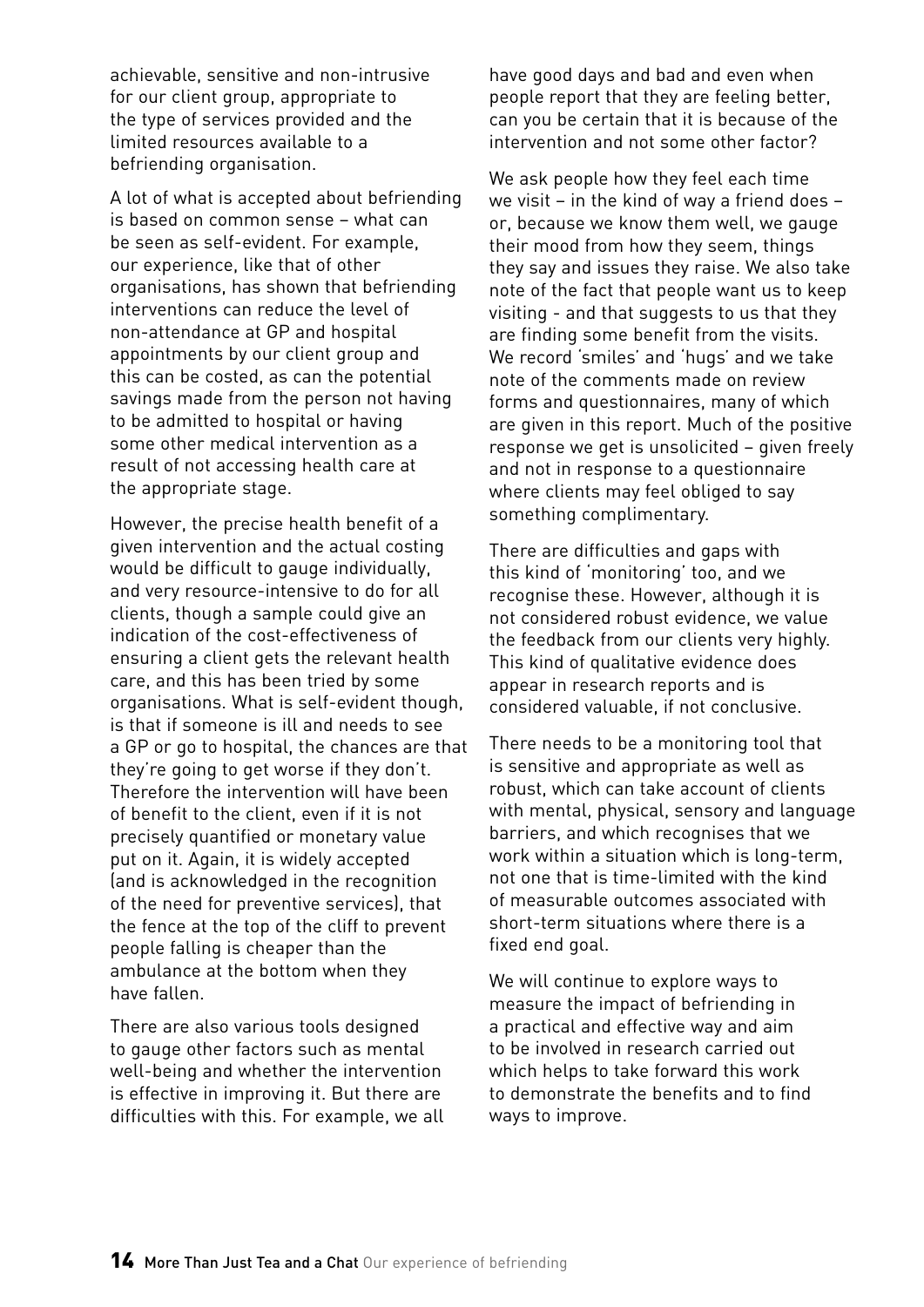achievable, sensitive and non-intrusive for our client group, appropriate to the type of services provided and the limited resources available to a befriending organisation.

A lot of what is accepted about befriending is based on common sense – what can be seen as self-evident. For example, our experience, like that of other organisations, has shown that befriending interventions can reduce the level of non-attendance at GP and hospital appointments by our client group and this can be costed, as can the potential savings made from the person not having to be admitted to hospital or having some other medical intervention as a result of not accessing health care at the appropriate stage.

However, the precise health benefit of a given intervention and the actual costing would be difficult to gauge individually, and very resource-intensive to do for all clients, though a sample could give an indication of the cost-effectiveness of ensuring a client gets the relevant health care, and this has been tried by some organisations. What is self-evident though, is that if someone is ill and needs to see a GP or go to hospital, the chances are that they're going to get worse if they don't. Therefore the intervention will have been of benefit to the client, even if it is not precisely quantified or monetary value put on it. Again, it is widely accepted (and is acknowledged in the recognition of the need for preventive services), that the fence at the top of the cliff to prevent people falling is cheaper than the ambulance at the bottom when they have fallen.

There are also various tools designed to gauge other factors such as mental well-being and whether the intervention is effective in improving it. But there are difficulties with this. For example, we all have good days and bad and even when people report that they are feeling better, can you be certain that it is because of the intervention and not some other factor?

We ask people how they feel each time we visit – in the kind of way a friend does – or, because we know them well, we gauge their mood from how they seem, things they say and issues they raise. We also take note of the fact that people want us to keep visiting - and that suggests to us that they are finding some benefit from the visits. We record 'smiles' and 'hugs' and we take note of the comments made on review forms and questionnaires, many of which are given in this report. Much of the positive response we get is unsolicited – given freely and not in response to a questionnaire where clients may feel obliged to say something complimentary.

There are difficulties and gaps with this kind of 'monitoring' too, and we recognise these. However, although it is not considered robust evidence, we value the feedback from our clients very highly. This kind of qualitative evidence does appear in research reports and is considered valuable, if not conclusive.

There needs to be a monitoring tool that is sensitive and appropriate as well as robust, which can take account of clients with mental, physical, sensory and language barriers, and which recognises that we work within a situation which is long-term, not one that is time-limited with the kind of measurable outcomes associated with short-term situations where there is a fixed end goal.

We will continue to explore ways to measure the impact of befriending in a practical and effective way and aim to be involved in research carried out which helps to take forward this work to demonstrate the benefits and to find ways to improve.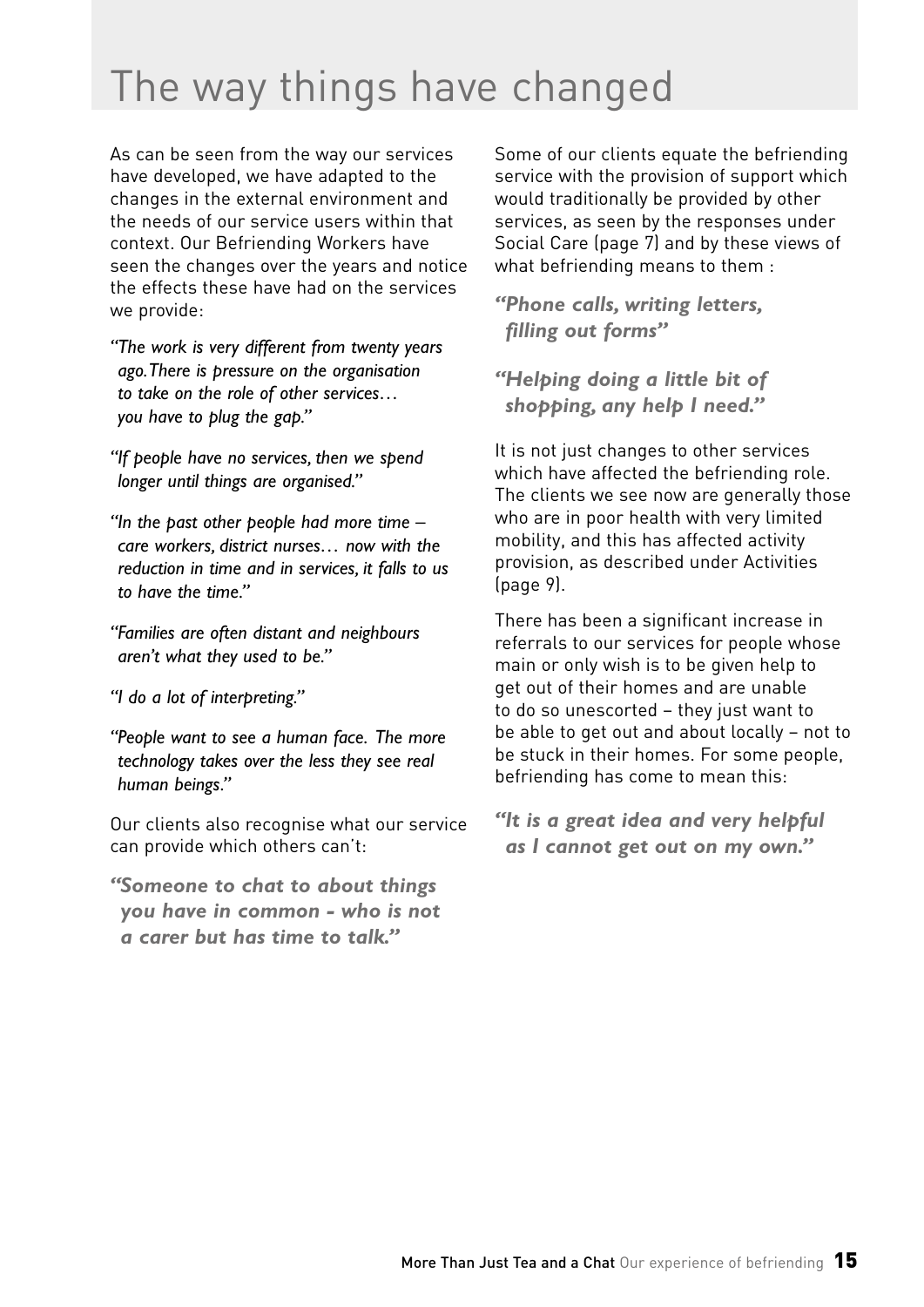# The way things have changed

As can be seen from the way our services have developed, we have adapted to the changes in the external environment and the needs of our service users within that context. Our Befriending Workers have seen the changes over the years and notice the effects these have had on the services we provide:

- *"The work is very different from twenty years ago. There is pressure on the organisation to take on the role of other services… you have to plug the gap."*
- *"If people have no services, then we spend longer until things are organised."*
- *"In the past other people had more time care workers, district nurses… now with the reduction in time and in services, it falls to us to have the time."*
- *"Families are often distant and neighbours aren't what they used to be."*
- *"I do a lot of interpreting."*
- *"People want to see a human face. The more technology takes over the less they see real human beings."*

Our clients also recognise what our service can provide which others can't:

*"Someone to chat to about things you have in common - who is not a carer but has time to talk."*

Some of our clients equate the befriending service with the provision of support which would traditionally be provided by other services, as seen by the responses under Social Care (page 7) and by these views of what befriending means to them :

*"Phone calls, writing letters, filling out forms"*

*"Helping doing a little bit of shopping, any help I need."*

It is not just changes to other services which have affected the befriending role. The clients we see now are generally those who are in poor health with very limited mobility, and this has affected activity provision, as described under Activities (page 9).

There has been a significant increase in referrals to our services for people whose main or only wish is to be given help to get out of their homes and are unable to do so unescorted – they just want to be able to get out and about locally – not to be stuck in their homes. For some people, befriending has come to mean this:

*"It is a great idea and very helpful as I cannot get out on my own."*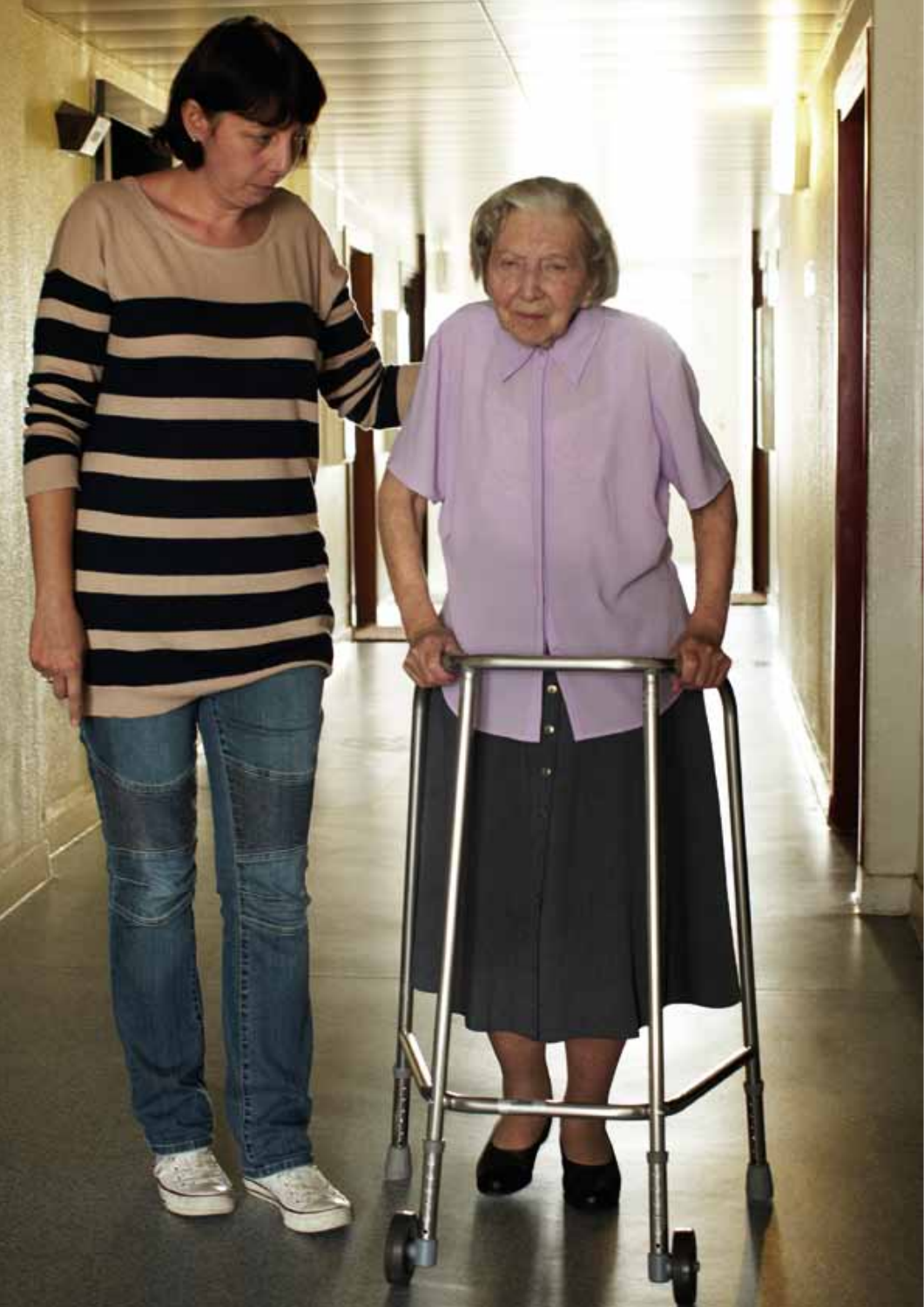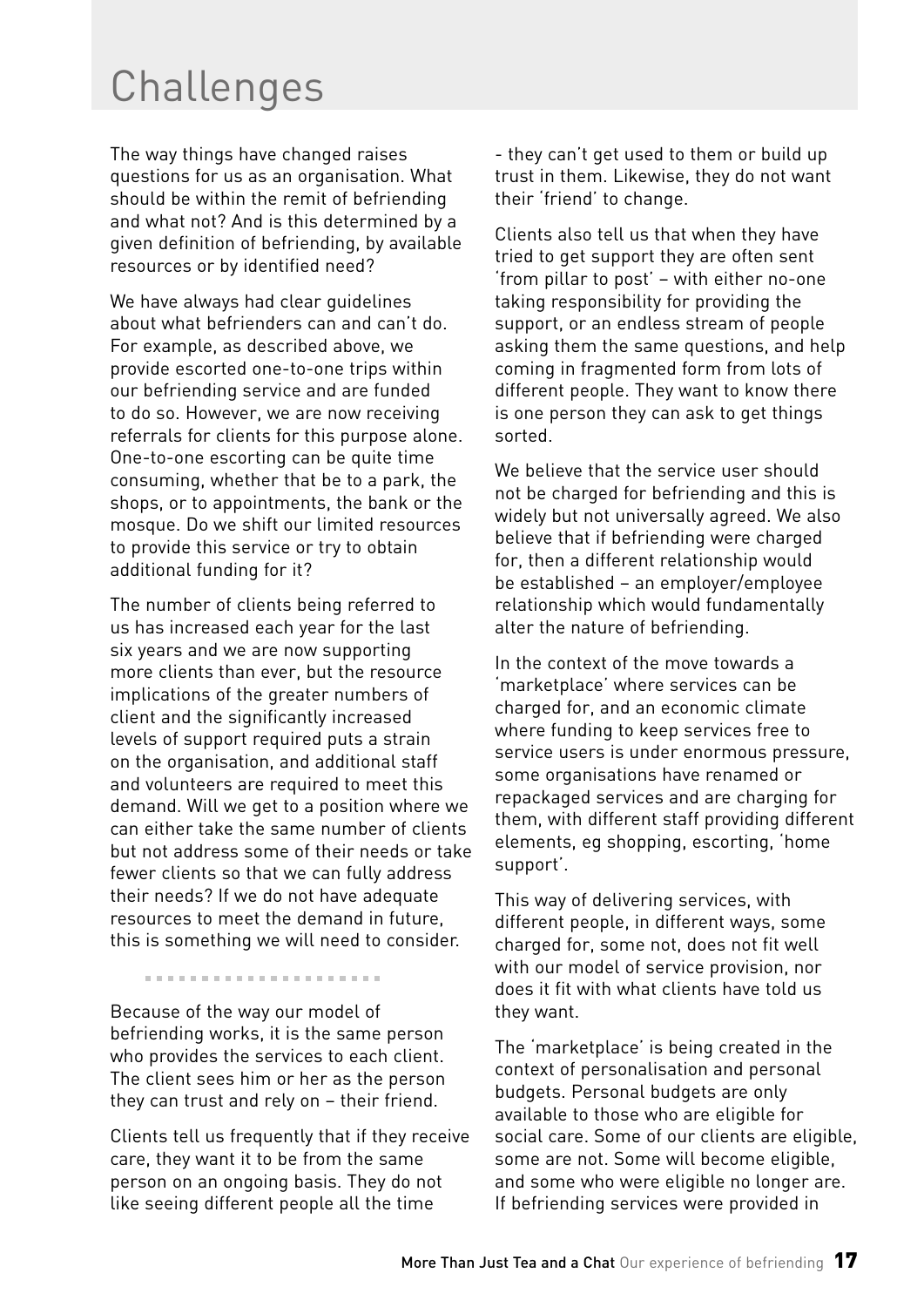## Challenges

The way things have changed raises questions for us as an organisation. What should be within the remit of befriending and what not? And is this determined by a given definition of befriending, by available resources or by identified need?

We have always had clear quidelines about what befrienders can and can't do. For example, as described above, we provide escorted one-to-one trips within our befriending service and are funded to do so. However, we are now receiving referrals for clients for this purpose alone. One-to-one escorting can be quite time consuming, whether that be to a park, the shops, or to appointments, the bank or the mosque. Do we shift our limited resources to provide this service or try to obtain additional funding for it?

The number of clients being referred to us has increased each year for the last six years and we are now supporting more clients than ever, but the resource implications of the greater numbers of client and the significantly increased levels of support required puts a strain on the organisation, and additional staff and volunteers are required to meet this demand. Will we get to a position where we can either take the same number of clients but not address some of their needs or take fewer clients so that we can fully address their needs? If we do not have adequate resources to meet the demand in future, this is something we will need to consider.

Because of the way our model of befriending works, it is the same person who provides the services to each client. The client sees him or her as the person they can trust and rely on – their friend.

Clients tell us frequently that if they receive care, they want it to be from the same person on an ongoing basis. They do not like seeing different people all the time

- they can't get used to them or build up trust in them. Likewise, they do not want their 'friend' to change.

Clients also tell us that when they have tried to get support they are often sent 'from pillar to post' – with either no-one taking responsibility for providing the support, or an endless stream of people asking them the same questions, and help coming in fragmented form from lots of different people. They want to know there is one person they can ask to get things sorted.

We believe that the service user should not be charged for befriending and this is widely but not universally agreed. We also believe that if befriending were charged for, then a different relationship would be established – an employer/employee relationship which would fundamentally alter the nature of befriending.

In the context of the move towards a 'marketplace' where services can be charged for, and an economic climate where funding to keep services free to service users is under enormous pressure, some organisations have renamed or repackaged services and are charging for them, with different staff providing different elements, eg shopping, escorting, 'home support'.

This way of delivering services, with different people, in different ways, some charged for, some not, does not fit well with our model of service provision, nor does it fit with what clients have told us they want.

The 'marketplace' is being created in the context of personalisation and personal budgets. Personal budgets are only available to those who are eligible for social care. Some of our clients are eligible, some are not. Some will become eligible, and some who were eligible no longer are. If befriending services were provided in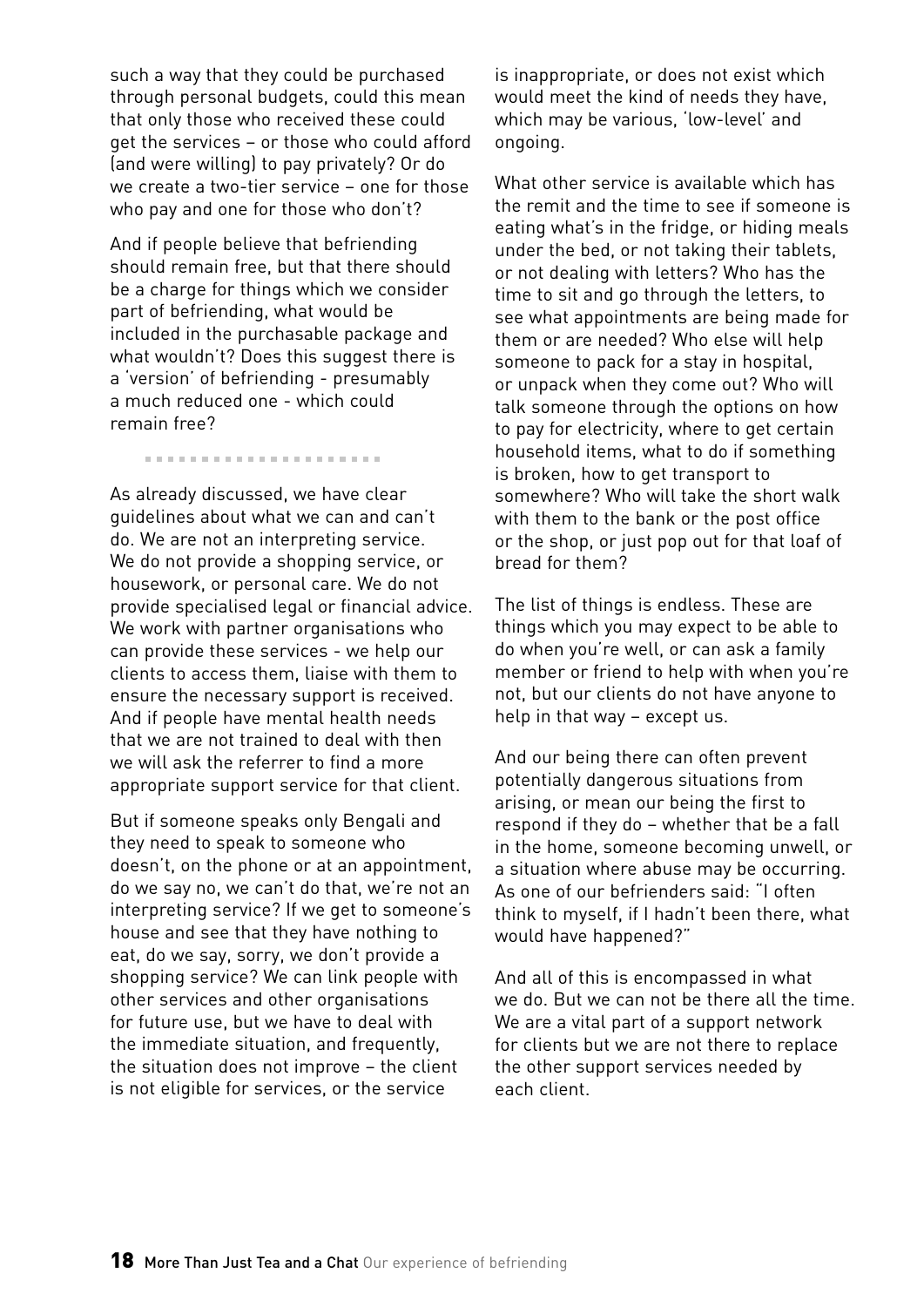such a way that they could be purchased through personal budgets, could this mean that only those who received these could get the services – or those who could afford (and were willing) to pay privately? Or do we create a two-tier service – one for those who pay and one for those who don't?

And if people believe that befriending should remain free, but that there should be a charge for things which we consider part of befriending, what would be included in the purchasable package and what wouldn't? Does this suggest there is a 'version' of befriending - presumably a much reduced one - which could remain free?

As already discussed, we have clear guidelines about what we can and can't do. We are not an interpreting service. We do not provide a shopping service, or housework, or personal care. We do not provide specialised legal or financial advice. We work with partner organisations who can provide these services - we help our clients to access them, liaise with them to ensure the necessary support is received. And if people have mental health needs that we are not trained to deal with then we will ask the referrer to find a more appropriate support service for that client.

But if someone speaks only Bengali and they need to speak to someone who doesn't, on the phone or at an appointment, do we say no, we can't do that, we're not an interpreting service? If we get to someone's house and see that they have nothing to eat, do we say, sorry, we don't provide a shopping service? We can link people with other services and other organisations for future use, but we have to deal with the immediate situation, and frequently, the situation does not improve – the client is not eligible for services, or the service

is inappropriate, or does not exist which would meet the kind of needs they have, which may be various, 'low-level' and ongoing.

What other service is available which has the remit and the time to see if someone is eating what's in the fridge, or hiding meals under the bed, or not taking their tablets, or not dealing with letters? Who has the time to sit and go through the letters, to see what appointments are being made for them or are needed? Who else will help someone to pack for a stay in hospital, or unpack when they come out? Who will talk someone through the options on how to pay for electricity, where to get certain household items, what to do if something is broken, how to get transport to somewhere? Who will take the short walk with them to the bank or the post office or the shop, or just pop out for that loaf of bread for them?

The list of things is endless. These are things which you may expect to be able to do when you're well, or can ask a family member or friend to help with when you're not, but our clients do not have anyone to help in that way – except us.

And our being there can often prevent potentially dangerous situations from arising, or mean our being the first to respond if they do – whether that be a fall in the home, someone becoming unwell, or a situation where abuse may be occurring. As one of our befrienders said: "I often think to myself, if I hadn't been there, what would have happened?"

And all of this is encompassed in what we do. But we can not be there all the time. We are a vital part of a support network for clients but we are not there to replace the other support services needed by each client.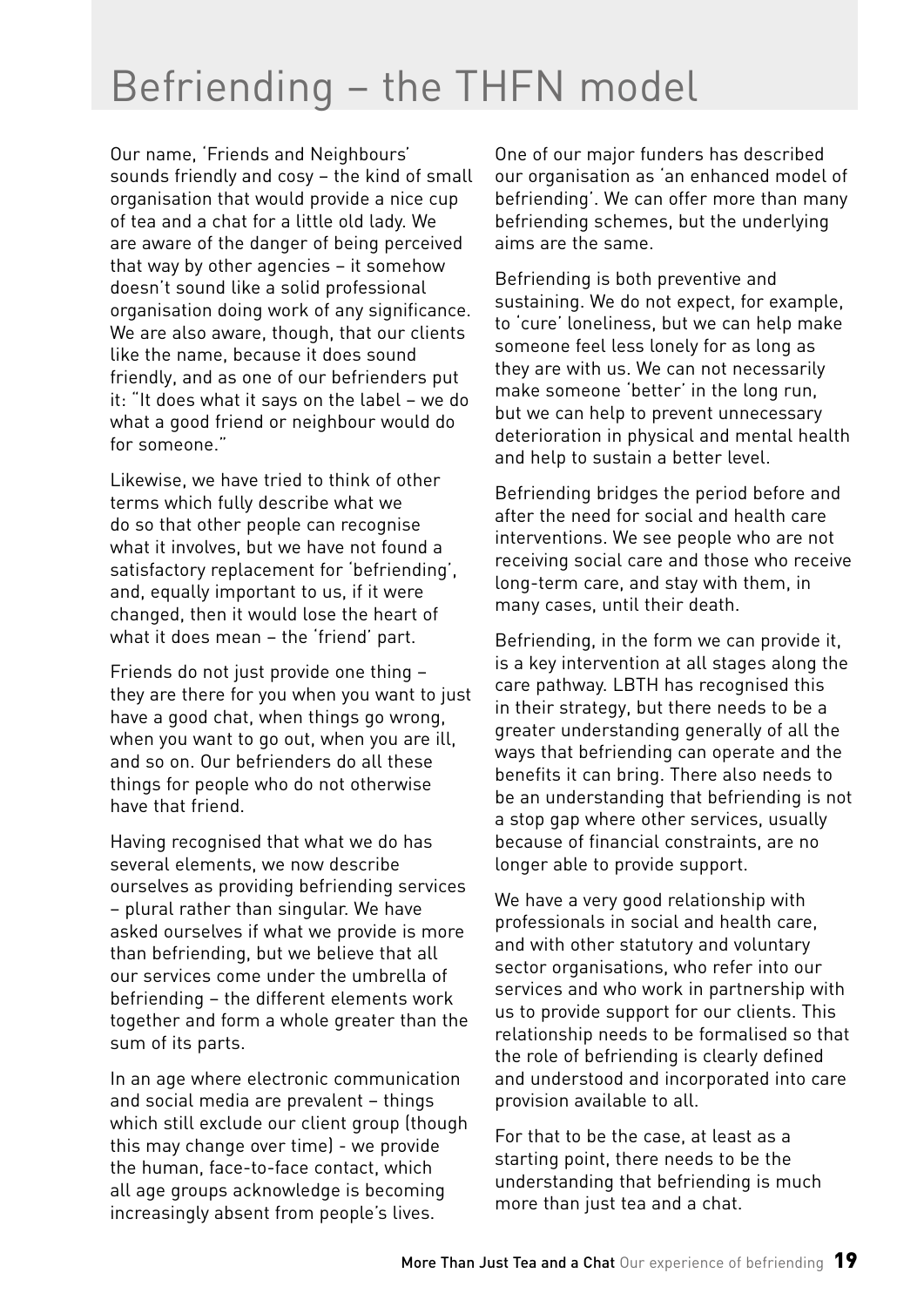# Befriending – the THFN model

Our name, 'Friends and Neighbours' sounds friendly and cosy – the kind of small organisation that would provide a nice cup of tea and a chat for a little old lady. We are aware of the danger of being perceived that way by other agencies – it somehow doesn't sound like a solid professional organisation doing work of any significance. We are also aware, though, that our clients like the name, because it does sound friendly, and as one of our befrienders put it: "It does what it says on the label – we do what a good friend or neighbour would do for someone."

Likewise, we have tried to think of other terms which fully describe what we do so that other people can recognise what it involves, but we have not found a satisfactory replacement for 'befriending', and, equally important to us, if it were changed, then it would lose the heart of what it does mean – the 'friend' part.

Friends do not just provide one thing – they are there for you when you want to just have a good chat, when things go wrong, when you want to go out, when you are ill. and so on. Our befrienders do all these things for people who do not otherwise have that friend.

Having recognised that what we do has several elements, we now describe ourselves as providing befriending services – plural rather than singular. We have asked ourselves if what we provide is more than befriending, but we believe that all our services come under the umbrella of befriending – the different elements work together and form a whole greater than the sum of its parts.

In an age where electronic communication and social media are prevalent – things which still exclude our client group (though this may change over time) - we provide the human, face-to-face contact, which all age groups acknowledge is becoming increasingly absent from people's lives.

One of our major funders has described our organisation as 'an enhanced model of befriending'. We can offer more than many befriending schemes, but the underlying aims are the same.

Befriending is both preventive and sustaining. We do not expect, for example, to 'cure' loneliness, but we can help make someone feel less lonely for as long as they are with us. We can not necessarily make someone 'better' in the long run, but we can help to prevent unnecessary deterioration in physical and mental health and help to sustain a better level.

Befriending bridges the period before and after the need for social and health care interventions. We see people who are not receiving social care and those who receive long-term care, and stay with them, in many cases, until their death.

Befriending, in the form we can provide it, is a key intervention at all stages along the care pathway. LBTH has recognised this in their strategy, but there needs to be a greater understanding generally of all the ways that befriending can operate and the benefits it can bring. There also needs to be an understanding that befriending is not a stop gap where other services, usually because of financial constraints, are no longer able to provide support.

We have a very good relationship with professionals in social and health care, and with other statutory and voluntary sector organisations, who refer into our services and who work in partnership with us to provide support for our clients. This relationship needs to be formalised so that the role of befriending is clearly defined and understood and incorporated into care provision available to all.

For that to be the case, at least as a starting point, there needs to be the understanding that befriending is much more than just tea and a chat.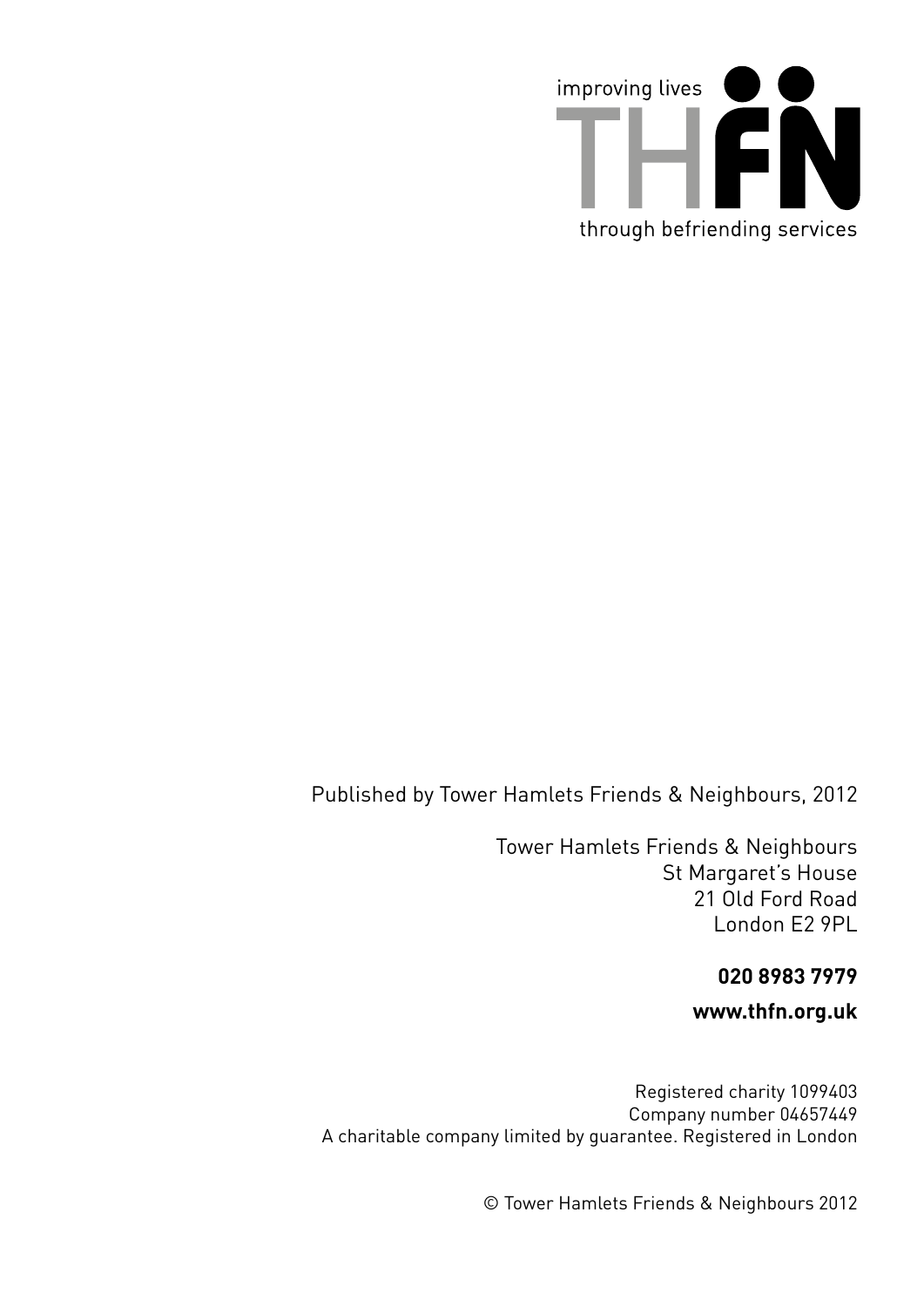

Published by Tower Hamlets Friends & Neighbours, 2012

Tower Hamlets Friends & Neighbours St Margaret's House 21 Old Ford Road London E2 9PL

**020 8983 7979**

**www.thfn.org.uk**

Registered charity 1099403 Company number 04657449 A charitable company limited by guarantee. Registered in London

© Tower Hamlets Friends & Neighbours 2012